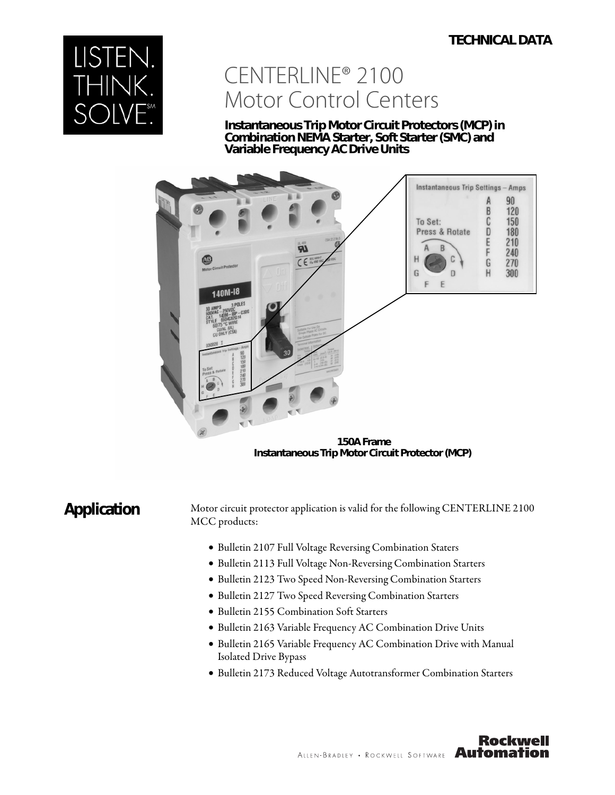# **TECHNICAL DATA**



# CENTERLINE® 2100 Motor Control Centers

**Instantaneous Trip Motor Circuit Protectors (MCP) in Combination NEMA Starter, Soft Starter (SMC) and Variable Frequency AC Drive Units**



 **150A Frame Instantaneous Trip Motor Circuit Protector (MCP)**

Application Motor circuit protector application is valid for the following CENTERLINE 2100 MCC products:

- Bulletin 2107 Full Voltage Reversing Combination Staters
- Bulletin 2113 Full Voltage Non-Reversing Combination Starters
- Bulletin 2123 Two Speed Non-Reversing Combination Starters
- Bulletin 2127 Two Speed Reversing Combination Starters
- Bulletin 2155 Combination Soft Starters
- Bulletin 2163 Variable Frequency AC Combination Drive Units
- Bulletin 2165 Variable Frequency AC Combination Drive with Manual Isolated Drive Bypass
- Bulletin 2173 Reduced Voltage Autotransformer Combination Starters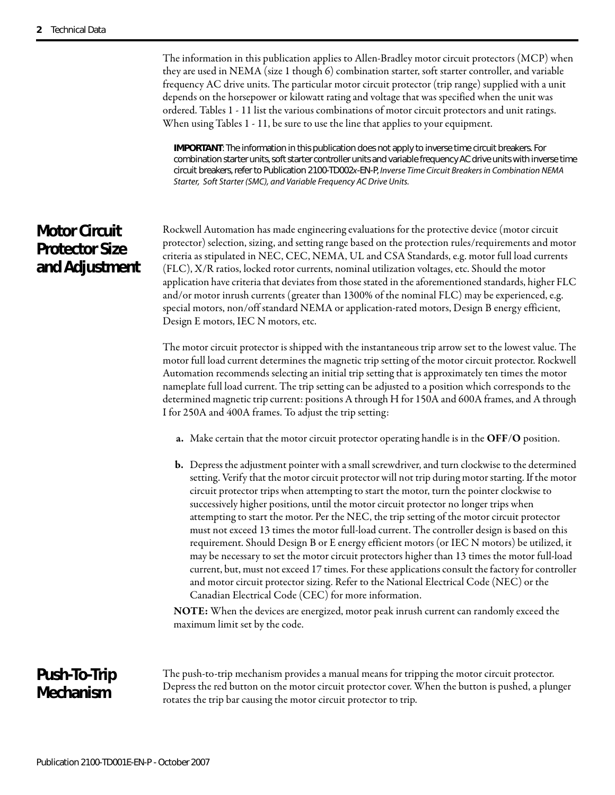The information in this publication applies to Allen-Bradley motor circuit protectors (MCP) when they are used in NEMA (size 1 though 6) combination starter, soft starter controller, and variable frequency AC drive units. The particular motor circuit protector (trip range) supplied with a unit depends on the horsepower or kilowatt rating and voltage that was specified when the unit was ordered. Tables 1 - 11 list the various combinations of motor circuit protectors and unit ratings. When using Tables 1 - 11, be sure to use the line that applies to your equipment.

**IMPORTANT**: The information in this publication does not apply to inverse time circuit breakers. For combination starter units, soft starter controller units and variable frequency AC drive units with inverse time circuit breakers, refer to Publication 2100-TD002x-EN-P, Inverse Time Circuit Breakers in Combination NEMA Starter, Soft Starter (SMC), and Variable Frequency AC Drive Units.

# **Motor Circuit Protector Size and Adjustment**

Rockwell Automation has made engineering evaluations for the protective device (motor circuit protector) selection, sizing, and setting range based on the protection rules/requirements and motor criteria as stipulated in NEC, CEC, NEMA, UL and CSA Standards, e.g. motor full load currents (FLC), X/R ratios, locked rotor currents, nominal utilization voltages, etc. Should the motor application have criteria that deviates from those stated in the aforementioned standards, higher FLC and/or motor inrush currents (greater than 1300% of the nominal FLC) may be experienced, e.g. special motors, non/off standard NEMA or application-rated motors, Design B energy efficient, Design E motors, IEC N motors, etc.

The motor circuit protector is shipped with the instantaneous trip arrow set to the lowest value. The motor full load current determines the magnetic trip setting of the motor circuit protector. Rockwell Automation recommends selecting an initial trip setting that is approximately ten times the motor nameplate full load current. The trip setting can be adjusted to a position which corresponds to the determined magnetic trip current: positions A through H for 150A and 600A frames, and A through I for 250A and 400A frames. To adjust the trip setting:

- **a.** Make certain that the motor circuit protector operating handle is in the **OFF**/**O** position.
- **b.** Depress the adjustment pointer with a small screwdriver, and turn clockwise to the determined setting. Verify that the motor circuit protector will not trip during motor starting. If the motor circuit protector trips when attempting to start the motor, turn the pointer clockwise to successively higher positions, until the motor circuit protector no longer trips when attempting to start the motor. Per the NEC, the trip setting of the motor circuit protector must not exceed 13 times the motor full-load current. The controller design is based on this requirement. Should Design B or E energy efficient motors (or IEC N motors) be utilized, it may be necessary to set the motor circuit protectors higher than 13 times the motor full-load current, but, must not exceed 17 times. For these applications consult the factory for controller and motor circuit protector sizing. Refer to the National Electrical Code (NEC) or the Canadian Electrical Code (CEC) for more information.

**NOTE:** When the devices are energized, motor peak inrush current can randomly exceed the maximum limit set by the code.

# **Push-To-Trip Mechanism**

The push-to-trip mechanism provides a manual means for tripping the motor circuit protector. Depress the red button on the motor circuit protector cover. When the button is pushed, a plunger rotates the trip bar causing the motor circuit protector to trip.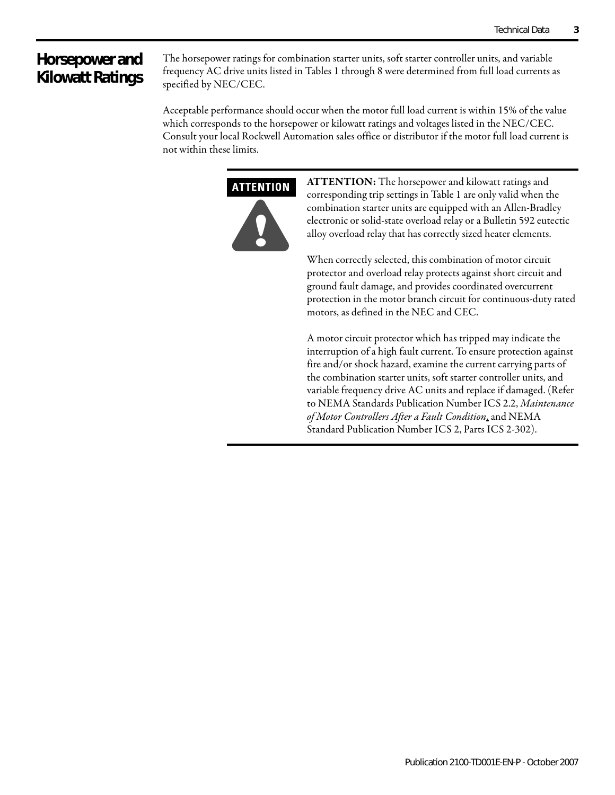# **Horsepower and Kilowatt Ratings**

The horsepower ratings for combination starter units, soft starter controller units, and variable frequency AC drive units listed in Tables 1 through 8 were determined from full load currents as specified by NEC/CEC.

Acceptable performance should occur when the motor full load current is within 15% of the value which corresponds to the horsepower or kilowatt ratings and voltages listed in the NEC/CEC. Consult your local Rockwell Automation sales office or distributor if the motor full load current is not within these limits.



**ATTENTION:** The horsepower and kilowatt ratings and corresponding trip settings in Table 1 are only valid when the combination starter units are equipped with an Allen-Bradley electronic or solid-state overload relay or a Bulletin 592 eutectic alloy overload relay that has correctly sized heater elements.

When correctly selected, this combination of motor circuit protector and overload relay protects against short circuit and ground fault damage, and provides coordinated overcurrent protection in the motor branch circuit for continuous-duty rated motors, as defined in the NEC and CEC.

A motor circuit protector which has tripped may indicate the interruption of a high fault current. To ensure protection against fire and/or shock hazard, examine the current carrying parts of the combination starter units, soft starter controller units, and variable frequency drive AC units and replace if damaged. (Refer to NEMA Standards Publication Number ICS 2.2, Maintenance of Motor Controllers After a Fault Condition, and NEMA Standard Publication Number ICS 2, Parts ICS 2-302).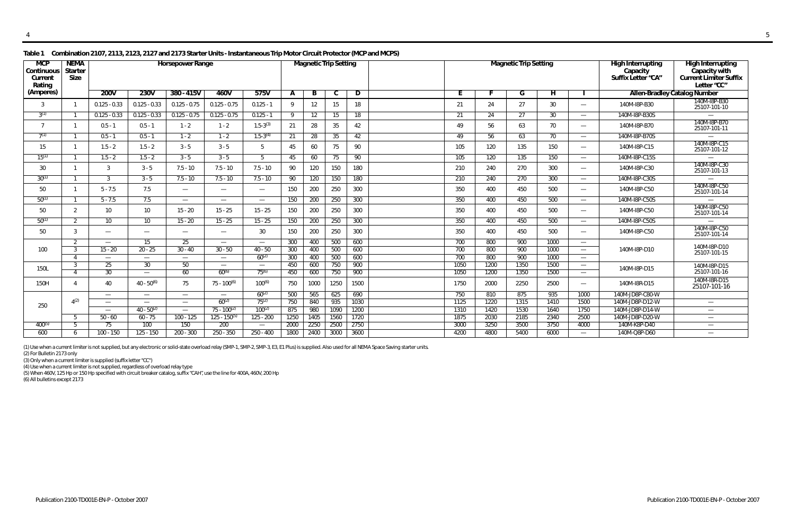(1) Use when a current limiter is not supplied, but any electronic or solid-state overload relay (SMP-1, SMP-2, SMP-3, E3, E1 Plus) is supplied. Also used for all NEMA Space Saving starter units.

(2) For Bulletin 2173 only

(3) Only when a current limiter is supplied (suffix letter "CC")

| <b>MCP</b><br>Continuous<br>Current<br>Rating | <b>NEMA</b><br><b>Starter</b><br><b>Size</b> | <b>Horsepower Range</b><br><b>Magnetic Trip Setting</b> |                               |                                 |                                                      |                          |            |            |            |            | <b>Magnetic Trip Setting</b> |            |            | <b>High Interrupting</b><br>Capacity<br>Suffix Letter "CA" | <b>High Interrupting</b><br>Capacity with<br><b>Current Limiter Suffix</b><br>Letter "CC" |                               |                 |                                     |
|-----------------------------------------------|----------------------------------------------|---------------------------------------------------------|-------------------------------|---------------------------------|------------------------------------------------------|--------------------------|------------|------------|------------|------------|------------------------------|------------|------------|------------------------------------------------------------|-------------------------------------------------------------------------------------------|-------------------------------|-----------------|-------------------------------------|
| (Amperes)                                     |                                              | <b>200V</b>                                             | 230V                          | $380 - 415V$                    | 460V                                                 | 575V                     | A          | B          | C          | D          |                              | F          |            | G                                                          | н                                                                                         |                               |                 | <b>Allen-Bradley Catalog Number</b> |
| 3                                             |                                              | $0.125 - 0.33$                                          | $0.125 - 0.33$                | $0.125 - 0.75$                  | $0.125 - 0.75$                                       | $0.125 - 1$              | 9          | 12         | 15         | 18         |                              | 21         | 24         | 27                                                         | 30                                                                                        |                               | 140M-I8P-B30    | 140M-I8P-B30<br>25107-101-10        |
| $3^{(1)}$                                     |                                              | $0.125 - 0.33$                                          | $0.125 - 0.33$                | $0.125 - 0.75$                  | $0.125 - 0.75$                                       | $0.125 - 1$              | Q          | 12         | 15         | 18         |                              | 21         | 24         | 27                                                         | 30                                                                                        |                               | 140M-I8P-B30S   |                                     |
| 7                                             |                                              | $0.5 - 1$                                               | $0.5 - 1$                     | $1 - 2$                         | $1 - 2$                                              | $1.5 - 3^{(3)}$          | 21         | 28         | 35         | 42         |                              | 49         | 56         | 63                                                         | 70                                                                                        | $\overbrace{\phantom{aaaaa}}$ | 140M-I8P-B70    | 140M-I8P-B70<br>25107-101-11        |
| 7(1)                                          |                                              | $0.5 - 1$                                               | $0.5 - 1$                     | $1 - 2$                         | $1 - 2$                                              | $1.5 - 3^{(4)}$          | 21         | 28         | 35         | 42         |                              | 49         | 56         | 63                                                         | 70                                                                                        | $\hspace{0.05cm}$             | 140M-I8P-B70S   |                                     |
| 15                                            |                                              | $1.5 - 2$                                               | $1.5 - 2$                     | $3 - 5$                         | $3 - 5$                                              | - 5                      | 45         | 60         | 75         | 90         |                              | 105        | 120        | 135                                                        | 150                                                                                       |                               | 140M-I8P-C15    | 140M-I8P-C15<br>25107-101-12        |
| $15^{(1)}$                                    |                                              | $1.5 - 2$                                               | $1.5 - 2$                     | $3 - 5$                         | $3 - 5$                                              | .5                       | 45         | 60         | 75         | 90         |                              | 105        | 120        | 135                                                        | 150                                                                                       | $\hspace{0.05cm}$             | 140M-I8P-C15S   |                                     |
| 30                                            |                                              | 3                                                       | $3 - 5$                       | $7.5 - 10$                      | $7.5 - 10$                                           | $7.5 - 10$               | 90         | 120        | 150        | 180        |                              | 210        | 240        | 270                                                        | 300                                                                                       |                               | 140M-I8P-C30    | 140M-I8P-C30<br>25107-101-13        |
| $30^{(1)}$                                    |                                              |                                                         | $3 - 5$                       | $7.5 - 10$                      | $7.5 - 10$                                           | $7.5 - 10$               | 90         | 120        | 150        | 180        |                              | 210        | 240        | 270                                                        | 300                                                                                       | $\hspace{0.05cm}$             | 140M-I8P-C30S   | $\overline{\phantom{0}}$            |
| 50                                            |                                              | $5 - 7.5$                                               | 7.5                           |                                 |                                                      | $\hspace{0.05cm}$        | 150        | 200        | 250        | 300        |                              | 350        | 400        | 450                                                        | 500                                                                                       | $\overline{\phantom{0}}$      | 140M-I8P-C50    | 140M-I8P-C50<br>25107-101-14        |
| $50^{(1)}$                                    |                                              | $5 - 7.5$                                               | 7.5                           |                                 | $\overline{\phantom{m}}$                             | $\overline{\phantom{m}}$ | 150        | 200        | 250        | 300        |                              | 350        | 400        | 450                                                        | 500                                                                                       |                               | 140M-I8P-C50S   |                                     |
| 50                                            | 2                                            | 10 <sup>°</sup>                                         | 10 <sup>°</sup>               | $15 - 20$                       | $15 - 25$                                            | $15 - 25$                | 150        | 200        | 250        | 300        |                              | 350        | 400        | 450                                                        | 500                                                                                       | $\overline{\phantom{0}}$      | 140M-I8P-C50    | 140M-I8P-C50<br>25107-101-14        |
| $50^{(1)}$                                    | 2                                            | 10 <sup>1</sup>                                         | 10 <sup>°</sup>               | $15 - 20$                       | $15 - 25$                                            | $15 - 25$                | 150        | 200        | 250        | 300        |                              | 350        | 400        | 450                                                        | 500                                                                                       | $\overline{\phantom{m}}$      | 140M-I8P-C50S   |                                     |
| 50                                            | -3                                           | $\overline{\phantom{0}}$                                | $\overbrace{\phantom{aaaaa}}$ | $\hspace{0.1mm}-\hspace{0.1mm}$ | $\overline{\phantom{m}}$                             | 30                       | 150        | 200        | 250        | 300        |                              | 350        | 400        | 450                                                        | 500                                                                                       | $\overbrace{\phantom{aaaaa}}$ | 140M-I8P-C50    | 140M-I8P-C50<br>25107-101-14        |
|                                               | 2                                            |                                                         | 15                            | 25                              | $\overline{\phantom{m}}$                             | $\hspace{0.05cm}$        | 300        | 400        | 500        | 600        |                              | 700        | 800        | 900                                                        | 1000                                                                                      | $\hspace{0.05cm}$             |                 | 140M-I8P-D10                        |
| 100                                           | -3<br>$\Delta$                               | $15 - 20$                                               | $20 - 25$                     | $30 - 40$                       | $30 - 50$                                            | $40 - 50$<br>$60^{(2)}$  | 300<br>300 | 400<br>400 | 500<br>500 | 600<br>600 |                              | 700<br>700 | 800<br>800 | 900<br>900                                                 | 1000<br>1000                                                                              | $\overline{\phantom{a}}$      | 140M-I8P-D10    | 25107-101-15                        |
|                                               | 3                                            | $\overline{\phantom{a}}$<br>25                          | 30                            | $\overline{\phantom{a}}$<br>50  | $\overline{\phantom{m}}$<br>$\overline{\phantom{a}}$ | $\overline{\phantom{m}}$ | 450        | 600        | 750        | 900        |                              | 1050       | 1200       | 1350                                                       | 1500                                                                                      | $\overline{\phantom{m}}$      |                 | 140M-I8P-D15                        |
| 150L                                          | $\Delta$                                     | 30                                                      | —                             | 60                              | $60^{(6)}$                                           | $75^{(6)}$               | 450        | 600        | 750        | 900        |                              | 1050       | 1200       | 1350                                                       | 1500                                                                                      | $\overline{\phantom{a}}$      | 140M-I8P-D15    | 25107-101-16                        |
| 150H                                          |                                              | 40                                                      | $40 - 50^{(6)}$               | 75                              | $75 - 100^{(6)}$                                     | $100^{(6)}$              | 750        | 1000       | 1250       | 1500       |                              | 1750       | 2000       | 2250                                                       | 2500                                                                                      | $\overline{\phantom{a}}$      | 140M-I8R-D15    | 140M-I8R-D15<br>25107-101-16        |
|                                               |                                              | $\overline{\phantom{0}}$                                | —                             | $\overline{\phantom{a}}$        | $\overline{\phantom{m}}$                             | $60^{(2)}$               | 500        | 565        | 625        | 690        |                              | 750        | 810        | 875                                                        | 935                                                                                       | 1000                          | 140M-JD8P-C80-W |                                     |
| 250                                           | $\mathbf{\Lambda}^{(2)}$                     | $\overline{\phantom{0}}$                                | $\overline{\phantom{0}}$      | $\overline{\phantom{m}}$        | $60^{(2)}$                                           | $75^{(2)}$               | 750        | 840        | 935        | 1030       |                              | 1125       | 1220       | 1315                                                       | 1410                                                                                      | 1500                          | 140M-JD8P-D12-W |                                     |
|                                               |                                              |                                                         | $40 - 50^{(2)}$               | $\overline{\phantom{0}}$        | $75 - 100^{(2)}$                                     | $100^{(2)}$              | 875        | 980        | 1090       | 1200       |                              | 1310       | 1420       | 1530                                                       | 1640                                                                                      | 1750                          | 140M-JD8P-D14-W | $\overline{\phantom{0}}$            |
|                                               | -5                                           | $50 - 60$                                               | $60 - 75$                     | $100 - 125$                     | $125 - 150^{(5)}$                                    | $125 - 200$              | 1250       | 1405       | 1560       | 1720       |                              | 1875       | 2030       | 2185                                                       | 2340                                                                                      | 2500                          | 140M-JD8P-D20-W |                                     |
| $400^{(5)}$                                   | -5                                           | 75                                                      | 100                           | 150                             | 200                                                  |                          | 2000       | 2250       | 2500       | 2750       |                              | 3000       | 3250       | 3500                                                       | 3750                                                                                      | 4000                          | 140M-K8P-D40    | $\overline{\phantom{a}}$            |
| 600                                           | 6                                            | $100 - 150$                                             | $125 - 150$                   | $200 - 300$                     | $250 - 350$                                          | $250 - 400$              | 1800       | 2400       | 3000       | 3600       |                              | 4200       | 4800       | 5400                                                       | 6000                                                                                      | $\overline{\phantom{m}}$      | 140M-Q8P-D60    |                                     |

**Table 1 Combination 2107, 2113, 2123, 2127 and 2173 Starter Units - Instantaneous Trip Motor Circuit Protector (MCP and MCPS)** 

(4) Use when a current limiter is not supplied, regardless of overload relay type

(5) When 460V, 125 Hp or 150 Hp specified with circuit breaker catalog, suffix "CAH", use the line for 400A, 460V, 200 Hp

(6) All bulletins except 2173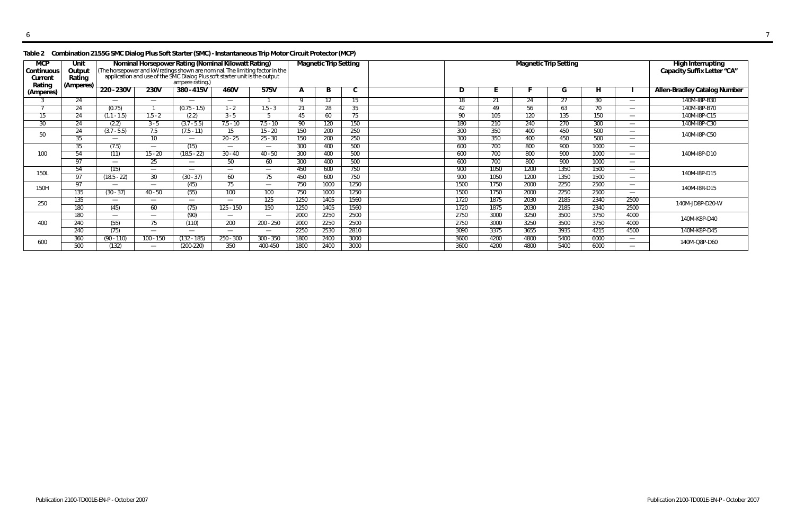### **Table 2 Combination 2155G SMC Dialog Plus Soft Starter (SMC) - Instantaneous Trip Motor Circuit Protector (MCP)**

| <b>MCP</b><br>Continuous<br>Curren<br>Rating | Unit<br>Output<br>Rating<br>(Amperes) |                   |                          | Nominal Horsepower Rating (Nominal Kilowatt Rating)<br>(The horsepower and kW ratings shown are nominal. The limiting factor in the application and use of the SMC Dialog Plus soft starter unit is the output<br>ampere rating.) |                          |                          |      | <b>Magnetic Trip Setting</b> |      |      |      |      | <b>Magnetic Trip Setting</b> |      |                          | <b>High Interrupting</b><br>Capacity Suffix Letter "CA" |
|----------------------------------------------|---------------------------------------|-------------------|--------------------------|-----------------------------------------------------------------------------------------------------------------------------------------------------------------------------------------------------------------------------------|--------------------------|--------------------------|------|------------------------------|------|------|------|------|------------------------------|------|--------------------------|---------------------------------------------------------|
| (Amperes)                                    |                                       | 220 - 230V        | 230V                     | $380 - 415V$                                                                                                                                                                                                                      | 460V                     | 575V                     |      | B                            | ◡    | D    |      |      | u                            | H.   |                          | <b>Allen-Bradley Catalog Number</b>                     |
|                                              | 24                                    |                   | $\overline{\phantom{m}}$ |                                                                                                                                                                                                                                   | $\overline{\phantom{0}}$ |                          |      | 12                           | 15.  | 18   | 21   | 24   | 27                           | 30   |                          | 140M-I8P-B30                                            |
|                                              | 24                                    | (0.75)            |                          | $(0.75 - 1.5)$                                                                                                                                                                                                                    | $1 - 2$                  | $1.5 - 3$                | 21   | 28                           | 35   | 42   | 49   | 56   | 63                           | 70   |                          | 140M-I8P-B70                                            |
| 15                                           | 24                                    | $(1.1 - 1.5)$     | $1.5 - 2$                | (2.2)                                                                                                                                                                                                                             | $3 - 5$                  |                          | 45   | 60                           | 75   | 90   | 105  | 120  | 135                          | 150  |                          | 140M-I8P-C15                                            |
| 30                                           | 24                                    | (2.2)             | $3 - 5$                  | $(3.7 - 5.5)$                                                                                                                                                                                                                     | $7.5 - 10$               | $7.5 - 10$               | 90   | 120                          | 150  | 180  | 210  | 240  | 270                          | 300  |                          | 140M-I8P-C30                                            |
| 50                                           | 24                                    | $(3.7 - 5.5)$     | 7.5                      | $(7.5 - 11)$                                                                                                                                                                                                                      | 15                       | $15 - 20$                | 150  | 200                          | 250  | 300  | 350  | 400  | 450                          | 500  | $\overline{\phantom{m}}$ | 140M-I8P-C50                                            |
|                                              | 35                                    |                   | 10                       |                                                                                                                                                                                                                                   | $20 - 25$                | $25 - 30$                | 150  | 200                          | 250  | 300  | 350  | 400  | 450                          | 500  |                          |                                                         |
|                                              | 35                                    | (7.5)             | $\overline{\phantom{m}}$ | (15)                                                                                                                                                                                                                              | $\overline{\phantom{0}}$ |                          | 300  | 400                          | 500  | 600  | 700  | 800  | 900                          | 1000 |                          |                                                         |
| 100                                          | 54                                    | (11)              | $15 - 20$                | $(18.5 - 22)$                                                                                                                                                                                                                     | $30 - 40$                | $40 - 50$                | 300  | 400                          | 500  | 600  | 700  | 800  | 900                          | 1000 | $\overline{\phantom{m}}$ | 140M-I8P-D10                                            |
|                                              | 97                                    | $\hspace{0.05cm}$ | 25                       |                                                                                                                                                                                                                                   | 50                       | 60                       | 300  | 400                          | 500  | 600  | 700  | 800  | 900                          | 1000 |                          |                                                         |
| 150L                                         | 54                                    | (15)              |                          |                                                                                                                                                                                                                                   | $\overline{\phantom{0}}$ |                          | 450  | 600                          | 750  | 900  | 1050 | 1200 | 1350                         | 1500 |                          | 140M-I8P-D15                                            |
|                                              | 97                                    | $(18.5 - 22)$     | 30                       | $(30 - 37)$                                                                                                                                                                                                                       | 60                       | 75                       | 450  | 600                          | 750  | 900  | 1050 | 1200 | 1350                         | 1500 | $\overline{\phantom{a}}$ |                                                         |
| 150H                                         | 97                                    |                   | $\overline{\phantom{a}}$ | (45)                                                                                                                                                                                                                              | 75                       | $\overline{\phantom{0}}$ | 750  | 1000                         | 1250 | 1500 | 1750 | 2000 | 2250                         | 2500 | $\overline{\phantom{m}}$ | 140M-I8R-D15                                            |
|                                              | 135                                   | $(30 - 37)$       | 40 - 50                  | (55)                                                                                                                                                                                                                              | 100                      | 100                      | 750  | 1000                         | 1250 | 1500 | 1750 | 2000 | 2250                         | 2500 |                          |                                                         |
| 250                                          | 135                                   |                   | $\overline{\phantom{m}}$ |                                                                                                                                                                                                                                   | $\overline{\phantom{0}}$ | 125                      | 1250 | 1405                         | 1560 | 1720 | 1875 | 2030 | 2185                         | 2340 | 2500                     | 140M-JD8P-D20-W                                         |
|                                              | 180                                   | (45)              | 60                       | (75)                                                                                                                                                                                                                              | $125 - 150$              | 150                      | 1250 | 1405                         | 1560 | 1720 | 1875 | 2030 | 2185                         | 2340 | 2500                     |                                                         |
|                                              | 180                                   |                   | $\overline{\phantom{a}}$ | (90)                                                                                                                                                                                                                              | $\overline{\phantom{0}}$ |                          | 2000 | 2250                         | 2500 | 2750 | 3000 | 3250 | 3500                         | 3750 | 4000                     | 140M-K8P-D40                                            |
| 400                                          | 240                                   | (55)              | 75                       | (110)                                                                                                                                                                                                                             | 200                      | 200 - 250                | 2000 | 2250                         | 2500 | 2750 | 3000 | 3250 | 3500                         | 3750 | 4000                     |                                                         |
|                                              | 240                                   | (75)              | $\overline{\phantom{m}}$ |                                                                                                                                                                                                                                   | $\overline{\phantom{0}}$ |                          | 2250 | 2530                         | 2810 | 3090 | 3375 | 3655 | 3935                         | 4215 | 4500                     | 140M-K8P-D45                                            |
| 600                                          | 360                                   | $(90 - 110)$      | $100 - 150$              | $(132 - 185)$                                                                                                                                                                                                                     | $250 - 300$              | $300 - 350$              | 1800 | 2400                         | 3000 | 3600 | 4200 | 4800 | 5400                         | 6000 | $\overline{\phantom{m}}$ | 140M-Q8P-D60                                            |
|                                              | 500                                   | (132)             | $\overline{\phantom{m}}$ | $(200-220)$                                                                                                                                                                                                                       | 350                      | 400-450                  | 1800 | 2400                         | 3000 | 3600 | 4200 | 4800 | 5400                         | 6000 |                          |                                                         |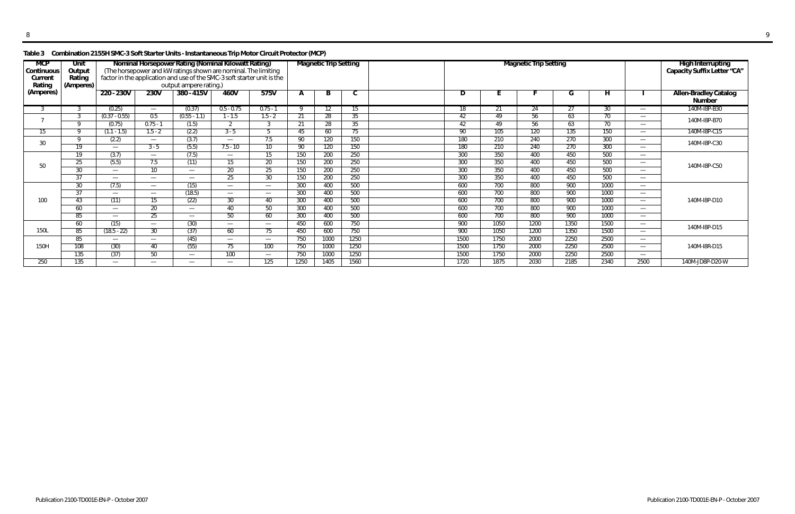## **Table 3 Combination 2155H SMC-3 Soft Starter Units - Instantaneous Trip Motor Circuit Protector (MCP)**

| <b>MCP</b><br>Continuous<br>Current<br>Rating | Unit<br>Output<br>Rating<br>(Amperes) | Nominal Horsepower Rating (Nominal Kilowatt Rating)<br>(The horsepower and kW ratings shown are nominal. The limiting<br>factor in the application and use of the SMC-3 soft starter unit is the<br>output ampere rating.) |                          |                          |                |                          |      | <b>Magnetic Trip Setting</b> |      |      |      | <b>Magnetic Trip Setting</b> |      |      | High Interrupting<br>Capacity Suffix Letter "CA" |                                               |
|-----------------------------------------------|---------------------------------------|----------------------------------------------------------------------------------------------------------------------------------------------------------------------------------------------------------------------------|--------------------------|--------------------------|----------------|--------------------------|------|------------------------------|------|------|------|------------------------------|------|------|--------------------------------------------------|-----------------------------------------------|
| (Amperes)                                     |                                       | 220 - 230V                                                                                                                                                                                                                 | 230V                     | 380 - 415V               | 460V           | 575V                     |      | D                            | C    | D    |      |                              | G    | H    |                                                  | <b>Allen-Bradley Catalog</b><br><b>Number</b> |
|                                               |                                       | (0.25)                                                                                                                                                                                                                     | $\overline{\phantom{m}}$ | (0.37)                   | $0.5 - 0.75$   | $0.75 - 1$               |      |                              | 15.  | 18.  |      | 24                           | 21   | 30   | $\overline{\phantom{0}}$                         | 140M-I8P-B30                                  |
|                                               |                                       | $(0.37 - 0.55)$                                                                                                                                                                                                            | 0.5                      | $(0.55 - 1.1)$           | $1 - 1.5$      | $1.5 - 2$                | 21   | 28                           | 35   | 42   | 49   | 56                           | 63   | 70   | $\overline{\phantom{0}}$                         | 140M-I8P-B70                                  |
|                                               | $\Omega$                              | (0.75)                                                                                                                                                                                                                     | $0.75 - 1$               | (1.5)                    | $\overline{2}$ | 3                        | 21   | 28                           | 35   | 42   | 49   | 56                           | 63   | 70   | $\overline{\phantom{0}}$                         |                                               |
| 15                                            | O                                     | $(1.1 - 1.5)$                                                                                                                                                                                                              | $1.5 - 2$                | (2.2)                    | $3 - 5$        |                          | 45   | 60                           | 75   | 90   | 105  | 120                          | 135  | 150  | $\overline{\phantom{0}}$                         | 140M-I8P-C15                                  |
| 30                                            | $\Omega$                              | (2.2)                                                                                                                                                                                                                      | $\overline{\phantom{m}}$ | (3.7)                    |                | 7.5                      | 90   | 120                          | 150  | 180  | 210  | 240                          | 270  | 300  | $\overline{\phantom{0}}$                         | 140M-I8P-C30                                  |
|                                               | 19                                    | --                                                                                                                                                                                                                         | $3 - 5$                  | (5.5)                    | $7.5 - 10$     | 10 <sup>°</sup>          | 90   | 120                          | 150  | 180  | 210  | 240                          | 270  | 300  | $\overline{\phantom{0}}$                         |                                               |
|                                               | 19                                    | (3.7)                                                                                                                                                                                                                      | $\overline{\phantom{m}}$ | (7.5)                    |                | 15                       | 150  | 200                          | 250  | 300  | 350  | 400                          | 450  | 500  | $\overline{\phantom{0}}$                         |                                               |
| 50                                            | 25                                    | (5.5)                                                                                                                                                                                                                      | 7.5                      | (11)                     | 15             | 20                       | 150  | 200                          | 250  | 300  | 350  | 400                          | 450  | 500  | $\overline{\phantom{0}}$                         | 140M-I8P-C50                                  |
|                                               | 30                                    | $\overline{\phantom{m}}$                                                                                                                                                                                                   | 10                       | $\overline{\phantom{m}}$ | 20             | 25                       | 150  | 200                          | 250  | 300  | 350  | 400                          | 450  | 500  | $\overline{\phantom{0}}$                         |                                               |
|                                               | $\overline{37}$                       |                                                                                                                                                                                                                            | $\overline{\phantom{m}}$ | $\overline{\phantom{a}}$ | 25             | 30 <sup>2</sup>          | 150  | 200                          | 250  | 300  | 350  | 400                          | 450  | 500  | $\overline{\phantom{0}}$                         |                                               |
|                                               | 30                                    | (7.5)                                                                                                                                                                                                                      | $\overline{\phantom{m}}$ | (15)                     |                | $\overline{\phantom{0}}$ | 300  | 400                          | 500  | 600  | 700  | 800                          | 900  | 1000 | $\overline{\phantom{0}}$                         |                                               |
|                                               | 37                                    |                                                                                                                                                                                                                            | $\overline{\phantom{m}}$ | (18.5)                   |                | $\overline{\phantom{0}}$ | 300  | 400                          | 500  | 600  | 700  | 800                          | 900  | 1000 |                                                  |                                               |
| 100                                           | 43                                    | (11)                                                                                                                                                                                                                       | 15                       | (22)                     | 30             | 40                       | 300  | 400                          | 500  | 600  | 700  | 800                          | 900  | 1000 | $\overline{\phantom{a}}$                         | 140M-I8P-D10                                  |
|                                               | 60                                    |                                                                                                                                                                                                                            | 20                       | $\overline{\phantom{m}}$ | 40             | 50                       | 300  | 400                          | 500  | 600  | 700  | 800                          | 900  | 1000 | $\overline{\phantom{0}}$                         |                                               |
|                                               | 85                                    | $\hspace{0.05cm}$                                                                                                                                                                                                          | 25                       | $\overline{\phantom{m}}$ | 50             | 60                       | 300  | 400                          | 500  | 600  | 700  | 800                          | 900  | 1000 | $\overline{\phantom{a}}$                         |                                               |
|                                               | 60                                    | (15)                                                                                                                                                                                                                       | $\overline{\phantom{m}}$ | (30)                     |                | $\overline{\phantom{0}}$ | 450  | 600                          | 750  | 900  | 1050 | 1200                         | 1350 | 1500 | $\overline{\phantom{0}}$                         | 140M-I8P-D15                                  |
| 150L                                          | 85                                    | $(18.5 - 22)$                                                                                                                                                                                                              | 30                       | (37)                     | 60             | 75                       | 450  | 600                          | 750  | 900  | 1050 | 1200                         | 1350 | 1500 | $\overline{\phantom{0}}$                         |                                               |
|                                               | 85                                    |                                                                                                                                                                                                                            |                          | (45)                     |                | $\overline{\phantom{0}}$ | 750  | 1000                         | 1250 | 1500 | 1750 | 2000                         | 2250 | 2500 | $\overline{\phantom{0}}$                         |                                               |
| 150H                                          | 108                                   | (30)                                                                                                                                                                                                                       | 40                       | (55)                     | 75             | 100                      | 750  | 1000                         | 1250 | 1500 | 1750 | 2000                         | 2250 | 2500 | $\overline{\phantom{0}}$                         | 140M-I8R-D15                                  |
|                                               | 135                                   | (37)                                                                                                                                                                                                                       | 50                       | $\overline{\phantom{m}}$ | 100            | $\overline{\phantom{0}}$ | 750  | 1000                         | 1250 | 1500 | 1750 | 2000                         | 2250 | 2500 | $\overline{\phantom{0}}$                         |                                               |
| 250                                           | 135                                   | --                                                                                                                                                                                                                         | $\overline{\phantom{0}}$ | $\overline{\phantom{0}}$ |                | 125                      | 1250 | 1405                         | 1560 | 1720 | 1875 | 2030                         | 2185 | 2340 | 2500                                             | 140M-JD8P-D20-W                               |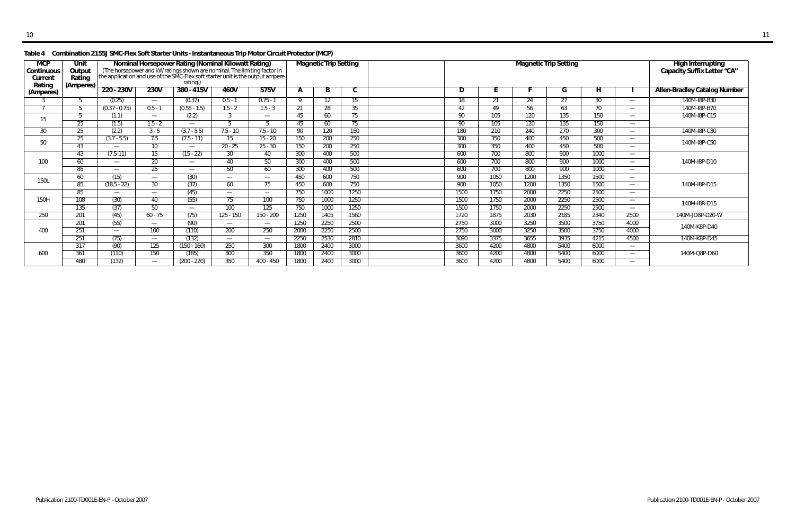### **Table 4 Combination 2155J SMC-Flex Soft Starter Units - Instantaneous Trip Motor Circuit Protector (MCP)**

| <b>MCP</b><br>Continuous<br>Curren<br>Rating | Unit<br>Output<br>Rating<br>(Amperes) | Nominal Horsepower Rating (Nominal Kilowatt Rating)<br>(The horsepower and kW ratings shown are nominal. The limiting factor in<br>the application and use of the SMC-Flex soft starter unit is the output ampere<br>rating.)<br>220 - 230V<br>230V<br>380 - 415V<br>460V<br>575V |                          |                          |                          |                          |      | <b>Magnetic Trip Setting</b> |      |      |      | <b>Magnetic Trip Setting</b> |      | <b>High Interrupting</b><br>Capacity Suffix Letter "CA" |                                  |                                     |
|----------------------------------------------|---------------------------------------|-----------------------------------------------------------------------------------------------------------------------------------------------------------------------------------------------------------------------------------------------------------------------------------|--------------------------|--------------------------|--------------------------|--------------------------|------|------------------------------|------|------|------|------------------------------|------|---------------------------------------------------------|----------------------------------|-------------------------------------|
| (Amperes)                                    |                                       |                                                                                                                                                                                                                                                                                   |                          |                          |                          |                          |      | B                            | C    | D    |      |                              | G    | н                                                       |                                  | <b>Allen-Bradley Catalog Number</b> |
|                                              |                                       | (0.25)                                                                                                                                                                                                                                                                            | $\overline{\phantom{m}}$ | (0.37)                   | $0.5 - 1$                | $0.75 - 1$               |      |                              | 15   |      | 21   | 24                           | 27   | 30                                                      | $\overbrace{\phantom{12322111}}$ | 140M-I8P-B30                        |
|                                              |                                       | $(0.37 - 0.75)$                                                                                                                                                                                                                                                                   | $0.5 - 1$                | $(0.55 - 1.5)$           | $1.5 - 2$                | $1.5 - 3$                | 21   | 28                           | 35   | 42   | 49   | 56                           | 63   | 70                                                      |                                  | 140M-I8P-B70                        |
| 15                                           |                                       | (1.1)                                                                                                                                                                                                                                                                             | $\overline{\phantom{m}}$ | (2.2)                    | 3                        | $\overline{\phantom{0}}$ | 45   | 60                           | 75   | 90   | 105  | 120                          | 135  | 150                                                     | $\overline{\phantom{m}}$         | 140M-I8P-C15                        |
|                                              | 25                                    | (1.5)                                                                                                                                                                                                                                                                             | $1.5 - 2$                |                          | Б.                       |                          | 45   | 60                           | 75   | 90   | 105  | 120                          | 135  | 150                                                     |                                  |                                     |
| 30                                           | 25                                    | (2.2)                                                                                                                                                                                                                                                                             | $3 - 5$                  | $(3.7 - 5.5)$            | $7.5 - 10$               | $7.5 - 10$               | 90   | 120                          | 150  | 180  | 210  | 240                          | 270  | 300                                                     | $\overline{\phantom{m}}$         | 140M-I8P-C30                        |
| 50                                           | 25                                    | $(3.7 - 5.5)$                                                                                                                                                                                                                                                                     | 7.5                      | $(7.5 - 11)$             | 15                       | $15 - 20$                | 150  | 200                          | 250  | 300  | 350  | 400                          | 450  | 500                                                     | $\hspace{0.1mm}-\hspace{0.1mm}$  | 140M-I8P-C50                        |
|                                              | 43                                    | $\qquad \qquad$                                                                                                                                                                                                                                                                   | 10                       | $\overline{\phantom{0}}$ | $20 - 25$                | $25 - 30$                | 150  | 200                          | 250  | 300  | 350  | 400                          | 450  | 500                                                     | $\overline{\phantom{m}}$         |                                     |
|                                              | 43                                    | $(7.5-11)$                                                                                                                                                                                                                                                                        | 15                       | $(15 - 22)$              | 30                       | 40                       | 300  | 400                          | 500  | 600  | 700  | 800                          | 900  | 1000                                                    |                                  |                                     |
| 100                                          | 60                                    | $\hspace{0.05cm}$                                                                                                                                                                                                                                                                 | 20                       |                          | 40                       | 50                       | 300  | 400                          | 500  | 600  | 700  | 800                          | 900  | 1000                                                    |                                  | 140M-I8P-D10                        |
|                                              | 85                                    |                                                                                                                                                                                                                                                                                   | 25                       | $\overline{\phantom{0}}$ | 50                       | 60                       | 300  | 400                          | 500  | 600  | 700  | 800                          | 900  | 1000                                                    | $\overline{\phantom{m}}$         |                                     |
| 150L                                         | 60                                    | (15)                                                                                                                                                                                                                                                                              | $\overline{\phantom{m}}$ | (30)                     | $\overline{\phantom{a}}$ | $\overline{\phantom{0}}$ | 450  | 600                          | 750  | 900  | 1050 | 1200                         | 1350 | 1500                                                    | $\overline{\phantom{m}}$         |                                     |
|                                              | 85                                    | $(18.5 - 22)$                                                                                                                                                                                                                                                                     | $\overline{30}$          | (37)                     | 60                       | 75                       | 450  | 600                          | 750  | 900  | 1050 | 1200                         | 1350 | 1500                                                    | $\overline{\phantom{m}}$         | 140M-I8P-D15                        |
|                                              | 85                                    |                                                                                                                                                                                                                                                                                   | $\overline{\phantom{a}}$ | (45)                     | $\overline{\phantom{a}}$ | $\sim$ $\sim$            | 750  | 1000                         | 1250 | 1500 | 1750 | 2000                         | 2250 | 2500                                                    |                                  |                                     |
| 150H                                         | 108                                   | (30)                                                                                                                                                                                                                                                                              | 40                       | (55)                     | 75                       | 100                      | 750  | 1000                         | 1250 | 1500 | 1750 | 2000                         | 2250 | 2500                                                    | $\hspace{0.1mm}-\hspace{0.1mm}$  | 140M-I8R-D15                        |
|                                              | 135                                   | (37)                                                                                                                                                                                                                                                                              | 50                       |                          | 100                      | $\overline{125}$         | 750  | 1000                         | 1250 | 1500 | 1750 | 2000                         | 2250 | 2500                                                    | $\overline{\phantom{m}}$         |                                     |
| 250                                          | 201                                   | (45)                                                                                                                                                                                                                                                                              | $60 - 75$                | (75)                     | 125 - 150                | $150 - 200$              | 1250 | 1405                         | 1560 | 1720 | 1875 | 2030                         | 2185 | 2340                                                    | 2500                             | 140M-JD8P-D20-W                     |
|                                              | 201                                   | (55)                                                                                                                                                                                                                                                                              | $\overline{\phantom{m}}$ | (90)                     |                          | $\overline{\phantom{0}}$ | 1250 | 2250                         | 2500 | 2750 | 3000 | 3250                         | 3500 | 3750                                                    | 4000                             | 140M-K8P-D40                        |
| 400                                          | 251                                   | $\hspace{0.05cm}$                                                                                                                                                                                                                                                                 | 100                      | (110)                    | 200                      | 250                      | 2000 | 2250                         | 2500 | 2750 | 3000 | 3250                         | 3500 | 3750                                                    | 4000                             |                                     |
|                                              | 251                                   | (75)                                                                                                                                                                                                                                                                              | $\overline{\phantom{a}}$ | (132)                    | $\overline{\phantom{a}}$ | $\overline{\phantom{0}}$ | 2250 | 2530                         | 2810 | 3090 | 3375 | 3655                         | 3935 | 4215                                                    | 4500                             | 140M-K8P-D45                        |
|                                              | 317                                   | (90)                                                                                                                                                                                                                                                                              | 125                      | (150 - 160)              | 250                      | 300                      | 1800 | 2400                         | 3000 | 3600 | 4200 | 4800                         | 5400 | 6000                                                    |                                  |                                     |
| 600                                          | 361                                   | (110)                                                                                                                                                                                                                                                                             | 150                      | (185)                    | 300                      | 350                      | 1800 | 2400                         | 3000 | 3600 | 4200 | 4800                         | 5400 | 6000                                                    | $\overline{\phantom{m}}$         | 140M-Q8P-D60                        |
|                                              | 480                                   | (132)                                                                                                                                                                                                                                                                             | $\overline{\phantom{m}}$ | $(200 - 220)$            | 350                      | $400 - 450$              | 1800 | 2400                         | 3000 | 3600 | 4200 | 4800                         | 5400 | 6000                                                    | $\overline{\phantom{m}}$         |                                     |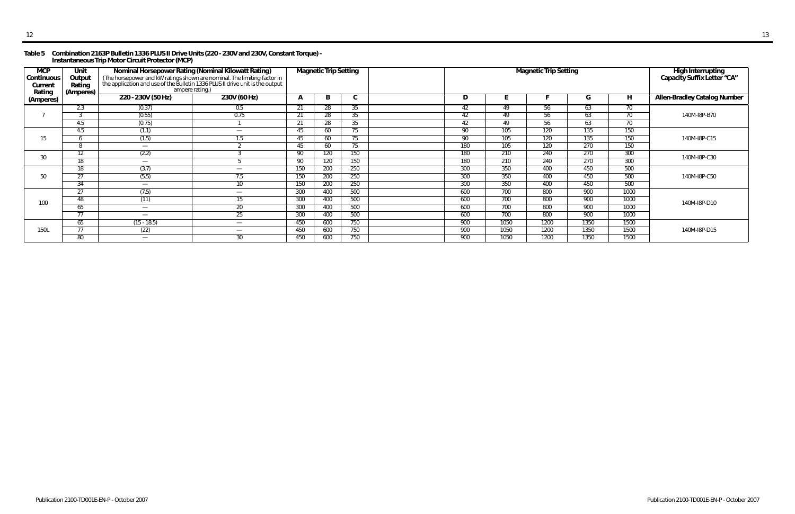#### **Table 5 Combination 2163P Bulletin 1336 PLUS II Drive Units (220 - 230V and 230V, Constant Torque) - Instantaneous Trip Motor Circuit Protector (MCP)**

| <b>MCP</b><br>Continuous<br>Current<br>Rating | Unit<br>Output<br>Rating<br>(Amperes) | Nominal Horsepower Rating (Nominal Kilowatt Rating)<br>(The horsepower and kW ratings shown are nominal. The limiting factor in<br>the application and use of the Bulletin 1336 PLUS II drive unit is the output<br>ampere rating.) |                               |              | <b>Magnetic Trip Setting</b> |              |     | <b>Magnetic Trip Setting</b> |      | High Interrupting<br>Capacity Suffix Letter "CA" |      |                                     |
|-----------------------------------------------|---------------------------------------|-------------------------------------------------------------------------------------------------------------------------------------------------------------------------------------------------------------------------------------|-------------------------------|--------------|------------------------------|--------------|-----|------------------------------|------|--------------------------------------------------|------|-------------------------------------|
| (Amperes)                                     |                                       | 220 - 230V (50 Hz)                                                                                                                                                                                                                  | 230V (60 Hz)                  | $\mathbf{A}$ | ь.                           | $\mathsf{C}$ | D   |                              |      | G                                                | H    | <b>Allen-Bradley Catalog Number</b> |
|                                               | 2.3                                   | (0.37)                                                                                                                                                                                                                              | 0.5                           | -21          | 28                           | 35           | 42  | 49                           | 56.  | 63                                               | 70   |                                     |
|                                               |                                       | (0.55)                                                                                                                                                                                                                              | 0.75                          | 21           | 28                           | 35           | 42  | 49                           | 56   | 63                                               | 70   | 140M-I8P-B70                        |
|                                               | 4.5                                   | (0.75)                                                                                                                                                                                                                              |                               | 21           | 28                           | 35           | 42  | 49                           | 56   | 63                                               | 70   |                                     |
|                                               | 4.5                                   | (1.1)                                                                                                                                                                                                                               | $\overline{\phantom{m}}$      | 45           | 60                           | 75           | 90  | 105                          | 120  | 135                                              | 150  |                                     |
| 15                                            |                                       | (1.5)                                                                                                                                                                                                                               | 1.5                           | 45           | 60                           | 75           | 90  | 105                          | 120  | 135                                              | 150  | 140M-I8P-C15                        |
|                                               | 8                                     | $\overline{\phantom{a}}$                                                                                                                                                                                                            |                               | 45           | 60                           | 75           | 180 | 105                          | 120  | 270                                              | 150  |                                     |
| 30                                            | 12                                    | (2.2)                                                                                                                                                                                                                               |                               | 90           | 120                          | 150          | 180 | 210                          | 240  | 270                                              | 300  | 140M-I8P-C30                        |
|                                               | 18                                    | $\overline{\phantom{m}}$                                                                                                                                                                                                            |                               | 90           | 120                          | 150          | 180 | 210                          | 240  | 270                                              | 300  |                                     |
|                                               | 18                                    | (3.7)                                                                                                                                                                                                                               | $\overline{\phantom{m}}$      | 150          | 200                          | 250          | 300 | 350                          | 400  | 450                                              | 500  |                                     |
| 50                                            | 27                                    | (5.5)                                                                                                                                                                                                                               | 7.5                           | 150          | 200                          | 250          | 300 | 350                          | 400  | 450                                              | 500  | 140M-I8P-C50                        |
|                                               | 34                                    | $\overline{\phantom{0}}$                                                                                                                                                                                                            | 10                            | 150          | 200                          | 250          | 300 | 350                          | 400  | 450                                              | 500  |                                     |
|                                               | 27                                    | (7.5)                                                                                                                                                                                                                               | $\overbrace{\phantom{13333}}$ | 300          | 400                          | 500          | 600 | 700                          | 800  | 900                                              | 1000 |                                     |
| 100                                           | 48                                    | (11)                                                                                                                                                                                                                                | 15                            | 300          | 400                          | 500          | 600 | 700                          | 800  | 900                                              | 1000 | 140M-I8P-D10                        |
|                                               | 65                                    | $\overline{\phantom{m}}$                                                                                                                                                                                                            | 20                            | 300          | 400                          | 500          | 600 | 700                          | 800  | 900                                              | 1000 |                                     |
|                                               | 77                                    |                                                                                                                                                                                                                                     | 25                            | 300          | 400                          | 500          | 600 | 700                          | 800  | 900                                              | 1000 |                                     |
|                                               | 65                                    | $(15 - 18.5)$                                                                                                                                                                                                                       | $\overline{\phantom{0}}$      | 450          | 600                          | 750          | 900 | 1050                         | 1200 | 1350                                             | 1500 |                                     |
| 150L                                          | 77                                    | (22)                                                                                                                                                                                                                                | $\overline{\phantom{m}}$      | 450          | 600                          | 750          | 900 | 1050                         | 1200 | 1350                                             | 1500 | 140M-I8P-D15                        |
|                                               | 80                                    |                                                                                                                                                                                                                                     | 30                            | 450          | 600                          | 750          | 900 | 1050                         | 1200 | 1350                                             | 1500 |                                     |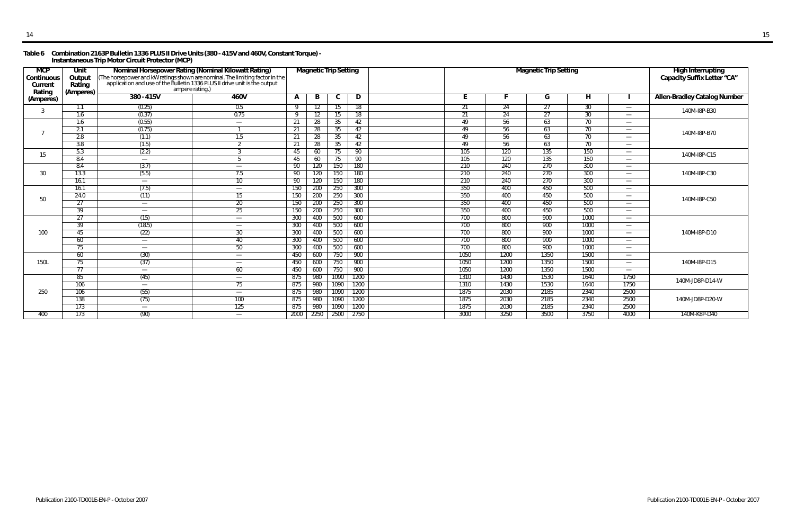#### **Table 6 Combination 2163P Bulletin 1336 PLUS II Drive Units (380 - 415V and 460V, Constant Torque) - Instantaneous Trip Motor Circuit Protector (MCP)**

| Rating<br>(Amperes)<br>$380 - 415V$<br>460V<br>$\overline{\mathsf{H}}$<br>B<br>D<br>G<br>$\mathsf{A}$<br>C<br>(Amperes)<br>(0.25)<br>0.5<br>24<br>27<br>30<br>$\overline{21}$<br>-9<br>12<br>18<br>1.1<br>15<br>$\overline{\phantom{m}}$<br>3<br>30 <sup>2</sup><br>0.75<br>27<br>$\overline{21}$<br>$\overline{1.6}$<br>(0.37)<br>$\overline{24}$<br>$12 \overline{ }$<br>-9<br>18<br>15<br>$\overline{\phantom{0}}$<br>63<br>70<br>(0.55)<br>28<br>56<br>1.6<br>21<br>35<br>42<br>49<br>$\overline{\phantom{m}}$<br>$\hspace{0.05cm}$<br>(0.75)<br>63<br>70<br>2.1<br>49<br>56<br>21<br>28<br>35<br>42<br>2.8<br>63<br>70<br>56<br>1.5<br>49<br>(1.1)<br>21<br>28<br>35<br>42<br>$\overline{\phantom{m}}$<br>$\overline{3.8}$<br>56<br>63<br>70<br>(1.5)<br>2<br>28<br>35<br>42<br>49<br>21<br>$\overline{\phantom{m}}$<br>5.3<br>(2.2)<br>135<br>150<br>105<br>120<br>45<br>60<br>90<br>75<br>$\hspace{0.05cm}$<br>15<br>120<br>135<br>150<br>8.4<br>105<br>60<br>75<br>90<br>45<br>5<br>$\overline{\phantom{m}}$<br>$\overline{\phantom{0}}$<br>300<br>150<br>240<br>270<br>8.4<br>(3.7)<br>120<br>180<br>210<br>90<br>$\overline{\phantom{m}}$<br>$\hspace{0.1mm}-\hspace{0.1mm}$<br>300<br>(5.5)<br>270<br>30<br>13.3<br>210<br>240<br>7.5<br>150<br>180<br>90<br>120<br>—<br>300<br>16.1<br>240<br>270<br>10 <sup>°</sup><br>150<br>180<br>210<br>90<br>120<br>$\overline{\phantom{0}}$<br>$\equiv$ | High Interrupting<br>Capacity Suffix Letter "CA" |
|------------------------------------------------------------------------------------------------------------------------------------------------------------------------------------------------------------------------------------------------------------------------------------------------------------------------------------------------------------------------------------------------------------------------------------------------------------------------------------------------------------------------------------------------------------------------------------------------------------------------------------------------------------------------------------------------------------------------------------------------------------------------------------------------------------------------------------------------------------------------------------------------------------------------------------------------------------------------------------------------------------------------------------------------------------------------------------------------------------------------------------------------------------------------------------------------------------------------------------------------------------------------------------------------------------------------------------------------------------------------------------------------------------|--------------------------------------------------|
|                                                                                                                                                                                                                                                                                                                                                                                                                                                                                                                                                                                                                                                                                                                                                                                                                                                                                                                                                                                                                                                                                                                                                                                                                                                                                                                                                                                                            | <b>Allen-Bradley Catalog Number</b>              |
|                                                                                                                                                                                                                                                                                                                                                                                                                                                                                                                                                                                                                                                                                                                                                                                                                                                                                                                                                                                                                                                                                                                                                                                                                                                                                                                                                                                                            | 140M-I8P-B30                                     |
|                                                                                                                                                                                                                                                                                                                                                                                                                                                                                                                                                                                                                                                                                                                                                                                                                                                                                                                                                                                                                                                                                                                                                                                                                                                                                                                                                                                                            |                                                  |
|                                                                                                                                                                                                                                                                                                                                                                                                                                                                                                                                                                                                                                                                                                                                                                                                                                                                                                                                                                                                                                                                                                                                                                                                                                                                                                                                                                                                            |                                                  |
|                                                                                                                                                                                                                                                                                                                                                                                                                                                                                                                                                                                                                                                                                                                                                                                                                                                                                                                                                                                                                                                                                                                                                                                                                                                                                                                                                                                                            | 140M-I8P-B70                                     |
|                                                                                                                                                                                                                                                                                                                                                                                                                                                                                                                                                                                                                                                                                                                                                                                                                                                                                                                                                                                                                                                                                                                                                                                                                                                                                                                                                                                                            |                                                  |
|                                                                                                                                                                                                                                                                                                                                                                                                                                                                                                                                                                                                                                                                                                                                                                                                                                                                                                                                                                                                                                                                                                                                                                                                                                                                                                                                                                                                            |                                                  |
|                                                                                                                                                                                                                                                                                                                                                                                                                                                                                                                                                                                                                                                                                                                                                                                                                                                                                                                                                                                                                                                                                                                                                                                                                                                                                                                                                                                                            | 140M-I8P-C15                                     |
|                                                                                                                                                                                                                                                                                                                                                                                                                                                                                                                                                                                                                                                                                                                                                                                                                                                                                                                                                                                                                                                                                                                                                                                                                                                                                                                                                                                                            |                                                  |
|                                                                                                                                                                                                                                                                                                                                                                                                                                                                                                                                                                                                                                                                                                                                                                                                                                                                                                                                                                                                                                                                                                                                                                                                                                                                                                                                                                                                            |                                                  |
|                                                                                                                                                                                                                                                                                                                                                                                                                                                                                                                                                                                                                                                                                                                                                                                                                                                                                                                                                                                                                                                                                                                                                                                                                                                                                                                                                                                                            | 140M-I8P-C30                                     |
|                                                                                                                                                                                                                                                                                                                                                                                                                                                                                                                                                                                                                                                                                                                                                                                                                                                                                                                                                                                                                                                                                                                                                                                                                                                                                                                                                                                                            |                                                  |
| 450<br>500<br>16.1<br>(7.5)<br>200<br>250<br>300<br>350<br>400<br>150<br>$\overbrace{\phantom{13333}}$<br>$\hspace{0.1mm}-\hspace{0.1mm}$                                                                                                                                                                                                                                                                                                                                                                                                                                                                                                                                                                                                                                                                                                                                                                                                                                                                                                                                                                                                                                                                                                                                                                                                                                                                  |                                                  |
| 500<br>350<br>24.0<br>(11)<br>200<br>250<br>300<br>400<br>450<br>15<br>150<br>$\hspace{0.05cm}$<br>50                                                                                                                                                                                                                                                                                                                                                                                                                                                                                                                                                                                                                                                                                                                                                                                                                                                                                                                                                                                                                                                                                                                                                                                                                                                                                                      | 140M-I8P-C50                                     |
| 500<br>350<br>27<br>20 <sup>2</sup><br>250<br>400<br>450<br>300<br>200<br>150<br>$\overline{\phantom{m}}$<br>—                                                                                                                                                                                                                                                                                                                                                                                                                                                                                                                                                                                                                                                                                                                                                                                                                                                                                                                                                                                                                                                                                                                                                                                                                                                                                             |                                                  |
| 500<br>25<br>350<br>450<br>39<br>250<br>300<br>400<br>200<br>150<br>$\overline{\phantom{m}}$<br>$\hspace{0.05cm}$                                                                                                                                                                                                                                                                                                                                                                                                                                                                                                                                                                                                                                                                                                                                                                                                                                                                                                                                                                                                                                                                                                                                                                                                                                                                                          |                                                  |
| 900<br>$\overline{27}$<br>(15)<br>500<br>600<br>700<br>800<br>1000<br>300<br>400<br>$\overline{\phantom{m}}$<br>$\hspace{0.05cm}$                                                                                                                                                                                                                                                                                                                                                                                                                                                                                                                                                                                                                                                                                                                                                                                                                                                                                                                                                                                                                                                                                                                                                                                                                                                                          |                                                  |
| 39<br>800<br>900<br>700<br>1000<br>(18.5)<br>400<br>500<br>600<br>300<br>$\overbrace{\phantom{123331}}$<br>$\hspace{0.05cm}$                                                                                                                                                                                                                                                                                                                                                                                                                                                                                                                                                                                                                                                                                                                                                                                                                                                                                                                                                                                                                                                                                                                                                                                                                                                                               |                                                  |
| 800<br>900<br>45<br>(22)<br>30 <sup>2</sup><br>400<br>500<br>600<br>700<br>1000<br>100<br>300<br>$\hspace{0.05cm}$                                                                                                                                                                                                                                                                                                                                                                                                                                                                                                                                                                                                                                                                                                                                                                                                                                                                                                                                                                                                                                                                                                                                                                                                                                                                                         | 140M-I8P-D10                                     |
| 900<br>500<br>700<br>800<br>1000<br>60<br>300<br>400<br>600<br>40<br>$\overline{\phantom{m}}$<br>$\hspace{0.05cm}$                                                                                                                                                                                                                                                                                                                                                                                                                                                                                                                                                                                                                                                                                                                                                                                                                                                                                                                                                                                                                                                                                                                                                                                                                                                                                         |                                                  |
| 900<br>700<br>800<br>50<br>500<br>1000<br>75<br>600<br>300<br>400<br>$\overline{\phantom{m}}$<br>$\hspace{0.05cm}$                                                                                                                                                                                                                                                                                                                                                                                                                                                                                                                                                                                                                                                                                                                                                                                                                                                                                                                                                                                                                                                                                                                                                                                                                                                                                         |                                                  |
| 60<br>(30)<br>750<br>900<br>1200<br>1350<br>1500<br>600<br>1050<br>450<br>$\hspace{0.05cm}$                                                                                                                                                                                                                                                                                                                                                                                                                                                                                                                                                                                                                                                                                                                                                                                                                                                                                                                                                                                                                                                                                                                                                                                                                                                                                                                |                                                  |
| 1350<br>(37)<br>1200<br>1500<br>900<br>1050<br><b>150L</b><br>750<br>75<br>450<br>600<br>$\overline{\phantom{0}}$<br>$\overline{\phantom{0}}$                                                                                                                                                                                                                                                                                                                                                                                                                                                                                                                                                                                                                                                                                                                                                                                                                                                                                                                                                                                                                                                                                                                                                                                                                                                              | 140M-I8P-D15                                     |
| 1200<br>1350<br>77<br>1050<br>1500<br>750<br>900<br>60<br>450<br>600<br>$\overline{\phantom{m}}$<br>—                                                                                                                                                                                                                                                                                                                                                                                                                                                                                                                                                                                                                                                                                                                                                                                                                                                                                                                                                                                                                                                                                                                                                                                                                                                                                                      |                                                  |
| 85<br>1090<br>1530<br>1750<br>(45)<br>980<br>1200<br>1310<br>1430<br>1640<br>875<br>$\overline{\phantom{m}}$                                                                                                                                                                                                                                                                                                                                                                                                                                                                                                                                                                                                                                                                                                                                                                                                                                                                                                                                                                                                                                                                                                                                                                                                                                                                                               |                                                  |
| 1090<br>1530<br>1750<br>1200<br>1310<br>106<br>980<br>1430<br>1640<br>75<br>875<br>$\overline{\phantom{m}}$                                                                                                                                                                                                                                                                                                                                                                                                                                                                                                                                                                                                                                                                                                                                                                                                                                                                                                                                                                                                                                                                                                                                                                                                                                                                                                | 140M-JD8P-D14-W                                  |
| 250<br>2030<br>2185<br>2500<br>(55)<br>1090<br>1200<br>1875<br>2340<br>106<br>980<br>875<br>$\overline{\phantom{0}}$                                                                                                                                                                                                                                                                                                                                                                                                                                                                                                                                                                                                                                                                                                                                                                                                                                                                                                                                                                                                                                                                                                                                                                                                                                                                                       |                                                  |
| 138<br>100<br>1090<br>1200<br>1875<br>2030<br>2185<br>2340<br>2500<br>(75)<br>980<br>875                                                                                                                                                                                                                                                                                                                                                                                                                                                                                                                                                                                                                                                                                                                                                                                                                                                                                                                                                                                                                                                                                                                                                                                                                                                                                                                   | 140M-JD8P-D20-W                                  |
| 2500<br>1875<br>2030<br>2185<br>2340<br>173<br>125<br>980<br>1090<br>1200<br>875<br>$\hspace{0.05cm}$                                                                                                                                                                                                                                                                                                                                                                                                                                                                                                                                                                                                                                                                                                                                                                                                                                                                                                                                                                                                                                                                                                                                                                                                                                                                                                      |                                                  |
| 3250<br>3750<br>3000<br>3500<br>4000<br>173<br>2750<br>(90)<br>2250<br>2500<br>400<br>2000<br>$\overbrace{\phantom{123331}}$                                                                                                                                                                                                                                                                                                                                                                                                                                                                                                                                                                                                                                                                                                                                                                                                                                                                                                                                                                                                                                                                                                                                                                                                                                                                               | 140M-K8P-D40                                     |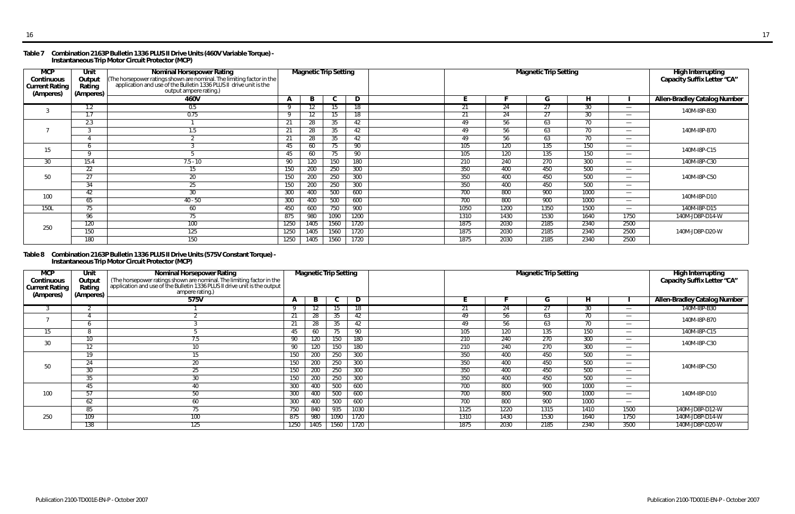#### **Table 7 Combination 2163P Bulletin 1336 PLUS II Drive Units (460V Variable Torque) - Instantaneous Trip Motor Circuit Protector (MCP)**

#### **Table 8 Combination 2163P Bulletin 1336 PLUS II Drive Units (575V Constant Torque) - Instantaneous Trip Motor Circuit Protector (MCP)**

| <b>MCP</b><br>Continuous<br><b>Current Rating</b><br>(Amperes) | Unit<br>Output<br>Rating<br>(Amperes) | Nominal Horsepower Rating<br>The horsepower ratings shown are nominal. The limiting factor in the<br>  application and use of the Bulletin 1336 PLUS II drive unit is the<br>output ampere rating.) |              | <b>Magnetic Trip Setting</b> |      |      |      |      | <b>High Interrupting</b><br>Capacity Suffix Letter "CA" |      |                          |                                     |
|----------------------------------------------------------------|---------------------------------------|-----------------------------------------------------------------------------------------------------------------------------------------------------------------------------------------------------|--------------|------------------------------|------|------|------|------|---------------------------------------------------------|------|--------------------------|-------------------------------------|
|                                                                |                                       | 460V                                                                                                                                                                                                | $\mathbf{A}$ | B                            | C    | D    |      |      | G                                                       | н    |                          | <b>Allen-Bradley Catalog Number</b> |
|                                                                | 1.2                                   | 0.5                                                                                                                                                                                                 |              |                              | 15   | 18   | 21   | 24   | 27                                                      | 30   | $\overline{\phantom{m}}$ | 140M-I8P-B30                        |
|                                                                | 1.7                                   | 0.75                                                                                                                                                                                                | Q            | $12 \overline{ }$            | 15   | 18   | 21   | 24   | 27                                                      | 30   |                          |                                     |
|                                                                | 2.3                                   |                                                                                                                                                                                                     | -21          | 28                           | 35   | 42   | 49   | 56   | 63                                                      | 70   |                          |                                     |
|                                                                |                                       | 1.5                                                                                                                                                                                                 | 21           | 28                           | 35   | 42   | 49   | 56   | 63                                                      | 70   | $\overline{\phantom{m}}$ | 140M-I8P-B70                        |
|                                                                |                                       |                                                                                                                                                                                                     | 21           | 28                           | 35   | 42   | 49   | 56   | 63                                                      | 70   |                          |                                     |
| 15                                                             |                                       |                                                                                                                                                                                                     | 45           | 60                           | 75   | 90   | 105  | 120  | 135                                                     | 150  |                          | 140M-I8P-C15                        |
|                                                                | $\sqrt{ }$                            |                                                                                                                                                                                                     | 45           | 60                           | 75   | 90   | 105  | 120  | 135                                                     | 150  |                          |                                     |
| 30                                                             | 15.4                                  | $7.5 - 10$                                                                                                                                                                                          | 90           | 120                          | 150  | 180  | 210  | 240  | 270                                                     | 300  | $\overline{\phantom{m}}$ | 140M-I8P-C30                        |
|                                                                | $\overline{22}$                       | 15                                                                                                                                                                                                  | 150          | 200                          | 250  | 300  | 350  | 400  | 450                                                     | 500  | $\overline{\phantom{m}}$ |                                     |
| 50                                                             | 27                                    | 20                                                                                                                                                                                                  | 150          | 200                          | 250  | 300  | 350  | 400  | 450                                                     | 500  | $\overline{\phantom{m}}$ | 140M-I8P-C50                        |
|                                                                | 34                                    | 25                                                                                                                                                                                                  | 150          | 200                          | 250  | 300  | 350  | 400  | 450                                                     | 500  |                          |                                     |
| 100                                                            | 42                                    | 30                                                                                                                                                                                                  | 300          | 400                          | 500  | 600  | 700  | 800  | 900                                                     | 1000 | $\overline{\phantom{m}}$ | 140M-I8P-D10                        |
|                                                                | 65                                    | 40 - 50                                                                                                                                                                                             | 300          | 400                          | 500  | 600  | 700  | 800  | 900                                                     | 1000 |                          |                                     |
| <b>150L</b>                                                    | $7\overline{5}$                       | 60                                                                                                                                                                                                  | 450          | 600                          | 750  | 900  | 1050 | 1200 | 1350                                                    | 1500 | $\overline{\phantom{m}}$ | 140M-I8P-D15                        |
|                                                                | 96                                    | 75                                                                                                                                                                                                  | 875          | 980                          | 1090 | 1200 | 1310 | 1430 | 1530                                                    | 1640 | 1750                     | 140M-JD8P-D14-W                     |
| 250                                                            | 120                                   | 100                                                                                                                                                                                                 | 1250         | 1405                         | 1560 | 1720 | 1875 | 2030 | 2185                                                    | 2340 | 2500                     |                                     |
|                                                                | 150                                   | 125                                                                                                                                                                                                 | 1250         | 1405                         | 1560 | 1720 | 1875 | 2030 | 2185                                                    | 2340 | 2500                     | 140M-JD8P-D20-W                     |
|                                                                | 180                                   | 150                                                                                                                                                                                                 | 1250         | 1405                         | 1560 | 1720 | 1875 | 2030 | 2185                                                    | 2340 | 2500                     |                                     |

| <b>MCP</b><br>Continuous<br><b>Current Rating</b><br>(Amperes) | Unit<br>Output<br>Rating<br>(Amperes) | <b>Nominal Horsepower Rating</b><br>The horsepower ratings shown are nominal. The limiting factor in the application and use of the Bulletin 1336 PLUS II drive unit is the output<br>ampere rating.) |              | <b>Magnetic Trip Setting</b> |      |      |      |      | High Interrupting<br>Capacity Suffix Letter "CA" |      |                          |                                     |
|----------------------------------------------------------------|---------------------------------------|-------------------------------------------------------------------------------------------------------------------------------------------------------------------------------------------------------|--------------|------------------------------|------|------|------|------|--------------------------------------------------|------|--------------------------|-------------------------------------|
|                                                                |                                       | 575V                                                                                                                                                                                                  | $\mathbf{r}$ | B                            |      | D    |      |      | u                                                | H.   |                          | <b>Allen-Bradley Catalog Number</b> |
|                                                                |                                       |                                                                                                                                                                                                       |              |                              |      |      |      | 24   | ZΙ                                               | 30   | $\overline{\phantom{m}}$ | 140M-I8P-B30                        |
|                                                                |                                       |                                                                                                                                                                                                       | 21           | 28                           | 35   | 42   | 49   | 56   | 63                                               | 70   | $\overline{\phantom{m}}$ | 140M-I8P-B70                        |
|                                                                |                                       |                                                                                                                                                                                                       | 21           | 28                           | 35   | 42   | 49   | 56   | 63                                               | 70   | $\overline{\phantom{m}}$ |                                     |
| 15                                                             |                                       |                                                                                                                                                                                                       | 45           | 60                           | 75   | -90  | 105  | 120  | 135                                              | 150  | $\overline{\phantom{0}}$ | 140M-I8P-C15                        |
| 30                                                             | 10 <sup>°</sup>                       | 7.5                                                                                                                                                                                                   | 90           | 120                          | 150  | 180  | 210  | 240  | 270                                              | 300  | $\overline{\phantom{0}}$ | 140M-I8P-C30                        |
|                                                                | $12 \overline{ }$                     | 10                                                                                                                                                                                                    | 90           | 120                          | 150  | 180  | 210  | 240  | 270                                              | 300  | $\overline{\phantom{m}}$ |                                     |
|                                                                | 19                                    |                                                                                                                                                                                                       | 150          | 200                          | 250  | 300  | 350  | 400  | 450                                              | 500  | $\overline{\phantom{m}}$ |                                     |
| 50                                                             | 24                                    | 20                                                                                                                                                                                                    | 150          | 200                          | 250  | 300  | 350  | 400  | 450                                              | 500  | $\overline{\phantom{m}}$ | 140M-I8P-C50                        |
|                                                                | 30                                    | 25                                                                                                                                                                                                    | 150          | 200                          | 250  | 300  | 350  | 400  | 450                                              | 500  | $\overline{\phantom{m}}$ |                                     |
|                                                                | 35                                    | 30                                                                                                                                                                                                    | 150          | 200                          | 250  | 300  | 350  | 400  | 450                                              | 500  | $\hspace{0.05cm}$        |                                     |
|                                                                | 45                                    | 40                                                                                                                                                                                                    | 300          | 400                          | 500  | 600  | 700  | 800  | 900                                              | 1000 | $\overline{\phantom{0}}$ |                                     |
| 100                                                            | 57                                    | 50                                                                                                                                                                                                    | 300          | 400                          | 500  | 600  | 700  | 800  | 900                                              | 1000 |                          | 140M-I8P-D10                        |
|                                                                | 62                                    | 60                                                                                                                                                                                                    | 300          | 400                          | 500  | 600  | 700  | 800  | 900                                              | 1000 | $\overline{\phantom{m}}$ |                                     |
|                                                                | 85                                    |                                                                                                                                                                                                       | 750          | 840                          | 935  | 1030 | 1125 | 1220 | 1315                                             | 1410 | 1500                     | 140M-JD8P-D12-W                     |
| 250                                                            | 109                                   | 100                                                                                                                                                                                                   | 875          | 980                          | 1090 | 1720 | 1310 | 1430 | 1530                                             | 1640 | 1750                     | 140M-JD8P-D14-W                     |
|                                                                | 138                                   | 125                                                                                                                                                                                                   | 1250         | 1405                         | 1560 | 1720 | 1875 | 2030 | 2185                                             | 2340 | 3500                     | 140M-JD8P-D20-W                     |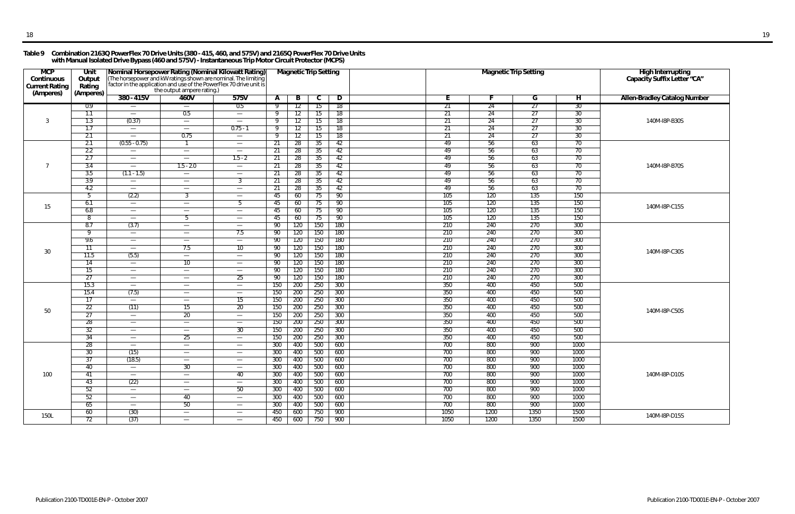#### **Table 9 Combination 2163Q PowerFlex 70 Drive Units (380 - 415, 460, and 575V) and 2165Q PowerFlex 70 Drive Units with Manual Isolated Drive Bypass (460 and 575V) - Instantaneous Trip Motor Circuit Protector (MCPS)**

| <b>MCP</b><br>Continuous<br><b>Current Rating</b><br>(Amperes) | Unit<br>Output<br>Rating<br>(Amperes) |                                        | the output ampere rating.)              | Nominal Horsepower Rating (Nominal Kilowatt Rating)<br>(The horsepower and kW ratings shown are nominal. The limiting factor in the application and use of the PowerFlex 70 drive unit is |            | <b>Magnetic Trip Setting</b> |            |            |                 | <b>Magnetic Trip Setting</b> |            | High Interrupting<br>Capacity Suffix Letter "CA" |                                     |
|----------------------------------------------------------------|---------------------------------------|----------------------------------------|-----------------------------------------|-------------------------------------------------------------------------------------------------------------------------------------------------------------------------------------------|------------|------------------------------|------------|------------|-----------------|------------------------------|------------|--------------------------------------------------|-------------------------------------|
|                                                                |                                       | $380 - 415V$                           | 460V                                    | 575V                                                                                                                                                                                      | A          | B                            | C.         | D          | н.              |                              | G          | H                                                | <b>Allen-Bradley Catalog Number</b> |
|                                                                | 0.9                                   |                                        | $\overline{\phantom{m}}$                | 0.5                                                                                                                                                                                       |            | 12                           | 15         | 18         | 21              | -24                          | 27         | 30                                               |                                     |
|                                                                | 1.1                                   |                                        | 0.5                                     |                                                                                                                                                                                           | Q          | 12                           | 15         | 18         | $\overline{21}$ | 24                           | 27         | 30                                               |                                     |
| 3                                                              | 1.3                                   | (0.37)                                 | $\overline{\phantom{m}}$                | $\overline{\phantom{a}}$                                                                                                                                                                  | <b>Q</b>   | 12                           | 15         | 18         | 21              | 24                           | 27         | 30                                               | 140M-I8P-B30S                       |
|                                                                | 1.7                                   | $\overline{\phantom{m}}$               | $\qquad \qquad \longleftarrow$          | $0.75 - 1$                                                                                                                                                                                | -9         | 12                           | 15         | 18         | 21              | 24                           | 27         | 30                                               |                                     |
|                                                                | 2.1                                   | $\overline{\phantom{m}}$               | 0.75                                    | $\overline{\phantom{m}}$                                                                                                                                                                  | 9          | 12                           | 15         | 18         | 21              | 24                           | 27         | 30 <sup>°</sup>                                  |                                     |
|                                                                | 2.1                                   | $(0.55 - 0.75)$                        | -1                                      | $\overline{\phantom{m}}$                                                                                                                                                                  | 21         | 28                           | 35         | 42         | 49              | 56                           | 63         | 70                                               |                                     |
|                                                                | 2.2                                   | $\overline{\phantom{m}}$               | $\overline{\phantom{m}}$                | $\overline{\phantom{0}}$                                                                                                                                                                  | 21         | 28                           | 35         | 42         | 49<br>49        | 56                           | 63         | 70                                               |                                     |
| 7                                                              | 2.7                                   | $\overline{\phantom{m}}$               | $\overline{\phantom{0}}$<br>$1.5 - 2.0$ | $1.5 - 2$                                                                                                                                                                                 | 21         | 28                           | 35         | 42         | 49              | 56                           | 63         | 70                                               | 140M-I8P-B70S                       |
|                                                                | 3.4<br>3.5                            | $(1.1 - 1.5)$                          |                                         | $\overline{\phantom{m}}$                                                                                                                                                                  | 21<br>-21  | 28                           | 35         | 42<br>42   | 49              | 56<br>56                     | 63<br>63   | 70<br>70                                         |                                     |
|                                                                | 3.9                                   | $\overline{\phantom{m}}$               | $\overline{\phantom{m}}$                | $\overline{\phantom{m}}$<br>$\overline{3}$                                                                                                                                                | 21         | 28<br>28                     | 35<br>35   | 42         | 49              | 56                           | 63         | 70                                               |                                     |
|                                                                | 4.2                                   | $\overline{\phantom{m}}$               | $\hspace{0.1mm}-\hspace{0.1mm}$         | $\overline{\phantom{0}}$                                                                                                                                                                  | 21         | 28                           | 35         | 42         | 49              | 56                           | 63         | 70                                               |                                     |
|                                                                | 5                                     | (2.2)                                  | 3                                       | $\overline{\phantom{0}}$                                                                                                                                                                  | 45         | 60                           | 75         | 90         | 105             | 120                          | 135        | 150                                              |                                     |
|                                                                | 6.1                                   | $\hspace{0.05cm}$                      | $\qquad \qquad \longleftarrow$          | b.                                                                                                                                                                                        | 45         | 60                           | 75         | 90         | 105             | 120                          | 135        | 150                                              |                                     |
| 15                                                             | 6.8                                   | $\overline{\phantom{m}}$               | —                                       | $\overline{\phantom{m}}$                                                                                                                                                                  | 45         | 60                           | 75         | 90         | 105             | 120                          | 135        | 150                                              | 140M-I8P-C15S                       |
|                                                                | 8                                     | $\overline{\phantom{m}}$               | -5                                      | $\overline{\phantom{m}}$                                                                                                                                                                  | 45         | 60                           | 75         | 90         | 105             | 120                          | 135        | 150                                              |                                     |
|                                                                | 8.7                                   | (3.7)                                  | $\hspace{0.05cm}$                       | $\overline{\phantom{m}}$                                                                                                                                                                  | 90         | 120                          | 150        | 180        | 210             | 240                          | 270        | 300                                              |                                     |
|                                                                | 9                                     | $\overline{\phantom{m}}$               | $\overline{\phantom{m}}$                | 7.5                                                                                                                                                                                       | 90         | 120                          | 150        | 180        | 210             | 240                          | 270        | 300                                              |                                     |
|                                                                | 9.6                                   | $\overline{\phantom{m}}$               | $\overline{\phantom{0}}$                | $\overline{\phantom{a}}$                                                                                                                                                                  | 90         | 120                          | 150        | 180        | 210             | 240                          | 270        | 300                                              |                                     |
| 30                                                             | 11                                    |                                        | 7.5                                     | 10 <sup>°</sup>                                                                                                                                                                           | 90         | 120                          | 150        | 180        | 210             | 240                          | 270        | 300                                              | 140M-I8P-C30S                       |
|                                                                | 11.5                                  | (5.5)                                  | $\overline{\phantom{m}}$                | $\overline{\phantom{m}}$                                                                                                                                                                  | 90         | 120                          | 150        | <b>180</b> | 210             | 240                          | 270        | 300                                              |                                     |
|                                                                | 14                                    | $\hspace{0.05cm}$                      | 10                                      | $\overline{\phantom{a}}$                                                                                                                                                                  | 90         | 120                          | 150        | 180        | 210             | 240                          | 270        | 300                                              |                                     |
|                                                                | $\overline{15}$                       | $\overline{\phantom{m}}$               | $\overline{\phantom{m}}$                |                                                                                                                                                                                           | 90         | 120                          | 150        | 180        | 210             | 240                          | 270        | 300                                              |                                     |
|                                                                | 27                                    | $\overline{\phantom{m}}$               |                                         | 25                                                                                                                                                                                        | 90         | 120                          | 150        | 180        | 210             | 240                          | 270        | 300                                              |                                     |
|                                                                | 15.3                                  | $\hspace{0.05cm}$                      | $\overline{\phantom{m}}$                | $\overline{\phantom{m}}$                                                                                                                                                                  | 150        | 200                          | 250        | 300        | 350             | 400                          | 450        | 500                                              |                                     |
|                                                                | 15.4                                  | (7.5)                                  | $\qquad \qquad \longleftarrow$          |                                                                                                                                                                                           | 150        | 200                          | 250        | 300        | 350             | 400                          | 450        | 500                                              |                                     |
|                                                                | 17                                    | $\overline{\phantom{m}}$               | $\qquad \qquad \longleftarrow$          | 15                                                                                                                                                                                        | 150        | 200                          | 250        | 300        | 350             | 400                          | 450        | 500                                              |                                     |
| 50                                                             | 22<br>27                              | (11)                                   | 15                                      | 20                                                                                                                                                                                        | 150        | 200                          | 250        | 300        | 350<br>350      | 400<br>400                   | 450<br>450 | 500<br>500                                       | 140M-I8P-C50S                       |
|                                                                | 28                                    | $\hspace{0.05cm}$<br>$\hspace{0.05cm}$ | 20                                      | $\overline{\phantom{m}}$<br>$\hspace{0.05cm}$                                                                                                                                             | 150<br>150 | 200<br>200                   | 250<br>250 | 300<br>300 | 350             | 400                          | 450        | 500                                              |                                     |
|                                                                | 32                                    | $\overline{\phantom{m}}$               | $\overline{\phantom{m}}$                | 30                                                                                                                                                                                        | 150        | 200                          | 250        | 300        | 350             | 400                          | 450        | 500                                              |                                     |
|                                                                | $\overline{34}$                       |                                        | 25                                      | $\overline{\phantom{m}}$                                                                                                                                                                  | 150        | 200                          | 250        | 300        | 350             | 400                          | 450        | 500                                              |                                     |
|                                                                | 28                                    |                                        | $\hspace{0.1mm}-\hspace{0.1mm}$         | $\hspace{0.05cm}$                                                                                                                                                                         | 300        | 400                          | 500        | 600        | 700             | 800                          | 900        | 1000                                             |                                     |
|                                                                | 30                                    | (15)                                   | —                                       | $\overline{\phantom{m}}$                                                                                                                                                                  | 300        | 400                          | 500        | 600        | 700             | 800                          | 900        | 1000                                             |                                     |
|                                                                | 37                                    | (18.5)                                 | $\overline{\phantom{m}}$                | $\hspace{0.05cm}$                                                                                                                                                                         | 300        | 400                          | 500        | 600        | 700             | 800                          | 900        | 1000                                             |                                     |
|                                                                | 40                                    | $\overline{\phantom{0}}$               | 30 <sup>2</sup>                         | $\overline{\phantom{m}}$                                                                                                                                                                  | 300        | 400                          | 500        | 600        | 700             | 800                          | 900        | 1000                                             |                                     |
| 100                                                            | 41                                    | $\overline{\phantom{0}}$               | $\overline{\phantom{m}}$                | 40                                                                                                                                                                                        | 300        | 400                          | 500        | 600        | 700             | 800                          | 900        | 1000                                             | 140M-I8P-D10S                       |
|                                                                | 43                                    | (22)                                   | $\hspace{0.1mm}-\hspace{0.1mm}$         | $\overline{\phantom{m}}$                                                                                                                                                                  | 300        | 400                          | 500        | 600        | 700             | 800                          | 900        | 1000                                             |                                     |
|                                                                | 52                                    | $\hspace{0.1mm}-\hspace{0.1mm}$        | $\hspace{0.05cm}$                       | 50                                                                                                                                                                                        | 300        | 400                          | 500        | 600        | 700             | 800                          | 900        | 1000                                             |                                     |
|                                                                | 52                                    | $\overline{\phantom{m}}$               | 40                                      | $\overline{\phantom{m}}$                                                                                                                                                                  | 300        | 400                          | 500        | 600        | 700             | 800                          | 900        | 1000                                             |                                     |
|                                                                | 65                                    | $\overline{\phantom{m}}$               | $50\,$                                  | $\overline{\phantom{m}}$                                                                                                                                                                  | 300        | 400                          | 500        | 600        | 700             | 800                          | 900        | 1000                                             |                                     |
| 150L                                                           | 60                                    | (30)                                   | $\overline{\phantom{a}}$                | $\overline{\phantom{m}}$                                                                                                                                                                  | 450        | 600                          | 750        | 900        | 1050            | 1200                         | 1350       | 1500                                             | 140M-I8P-D15S                       |
|                                                                | 72                                    | (37)                                   | $\overline{\phantom{m}}$                | $\overline{\phantom{m}}$                                                                                                                                                                  | 450        | 600                          | 750        | 900        | 1050            | 1200                         | 1350       | 1500                                             |                                     |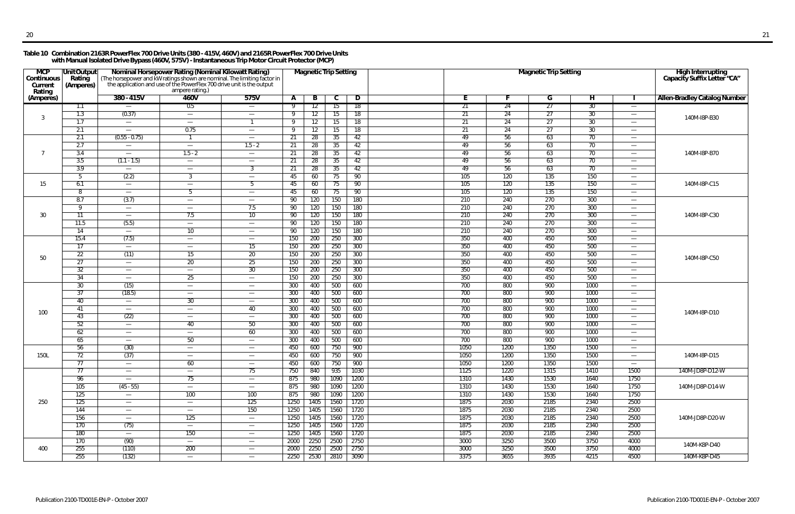#### **Table 10 Combination 2163R PowerFlex 700 Drive Units (380 - 415V, 460V) and 2165R PowerFlex 700 Drive Units with Manual Isolated Drive Bypass (460V, 575V) - Instantaneous Trip Motor Circuit Protector (MCP)**

| <b>MCP</b><br>Continuous<br>Current<br>Rating | <b>UnitOutput</b><br>Rating<br>(Amperes) | <b>Nominal Horsepower Rating (Nominal Kilowatt Rating)</b><br>(The horsepower and kW ratings shown are nominal. The limiting factor in<br>the application and use of the PowerFlex 700 drive unit is the output | ampere rating.)                 |                                                      |              |            | <b>Magnetic Trip Setting</b> |            |            |            | <b>Magnetic Trip Setting</b> |                 |                                                      | High Interrupting<br>Capacity Suffix Letter "CA" |
|-----------------------------------------------|------------------------------------------|-----------------------------------------------------------------------------------------------------------------------------------------------------------------------------------------------------------------|---------------------------------|------------------------------------------------------|--------------|------------|------------------------------|------------|------------|------------|------------------------------|-----------------|------------------------------------------------------|--------------------------------------------------|
| (Amperes)                                     |                                          | $380 - 415V$                                                                                                                                                                                                    | 460V                            | 575V                                                 | $\mathbf{A}$ | B          | C                            | D          | Е          |            | G                            | н               |                                                      | <b>Allen-Bradley Catalog Number</b>              |
|                                               | 1.1                                      | $\overline{\phantom{m}}$                                                                                                                                                                                        | 0.5                             | $\overline{\phantom{m}}$                             |              | 12         | 15                           | 18         | 21         | 24         | 27                           | 30 <sup>2</sup> | $\overbrace{\phantom{13333}}$                        |                                                  |
| $\mathbf{3}$                                  | 1.3                                      | (0.37)                                                                                                                                                                                                          | $\overline{\phantom{m}}$        | $\overline{\phantom{m}}$                             | - Q          | 12         | 15                           | 18         | 21         | 24         | 27                           | 30              | $\overbrace{\phantom{13333}}$                        | 140M-I8P-B30                                     |
|                                               | 1.7                                      | $\overline{\phantom{m}}$                                                                                                                                                                                        | $\qquad \qquad -$               |                                                      | - Q          | 12         | 15                           | 18         | 21         | 24         | 27                           | 30              | $\overline{\phantom{0}}$                             |                                                  |
|                                               | 2.1                                      | $\overline{\phantom{m}}$                                                                                                                                                                                        | 0.75                            | $\overline{\phantom{m}}$                             | q            | 12         | 15                           | 18         | 21         | 24         | 27                           | 30              | $\overline{\phantom{0}}$                             |                                                  |
|                                               | 2.1                                      | $(0.55 - 0.75)$                                                                                                                                                                                                 |                                 | $\hspace{0.05cm}$                                    | 21           | 28         | 35                           | 42         | 49         | 56         | 63                           | 70              | $\overline{\phantom{m}}$                             |                                                  |
|                                               | 2.7                                      | $\overline{\phantom{m}}$                                                                                                                                                                                        | $\overline{\phantom{m}}$        | $1.5 - 2$                                            | 21           | 28         | 35                           | 42         | 49         | 56         | 63                           | 70              | $\overline{\phantom{m}}$                             |                                                  |
| $\overline{7}$                                | 3.4                                      | $\overline{\phantom{m}}$                                                                                                                                                                                        | $1.5 - 2$                       | $\overline{\phantom{m}}$                             | 21           | 28         | 35                           | 42         | 49         | 56         | 63                           | 70              | $\overbrace{\phantom{13333}}$                        | 140M-I8P-B70                                     |
|                                               | 3.5                                      | $(1.1 - 1.5)$                                                                                                                                                                                                   | $\overline{\phantom{m}}$        | $\overline{\phantom{m}}$                             | 21           | 28         | 35                           | 42         | 49         | 56         | 63                           | 70              | $\overbrace{\phantom{13333}}$                        |                                                  |
|                                               | 3.9                                      | $\overline{\phantom{m}}$                                                                                                                                                                                        | $\overline{\phantom{0}}$        | 3                                                    | 21           | 28         | 35                           | 42         | 49         | 56         | 63                           | 70              | $\hspace{0.1mm}-\hspace{0.1mm}$                      |                                                  |
|                                               | 5                                        | (2.2)                                                                                                                                                                                                           | 3                               | $\hspace{0.05cm}$                                    | 45           | 60         | 75                           | 90         | 105        | 120        | 135                          | 150             | $\overbrace{\phantom{13333}}$                        |                                                  |
| 15                                            | 6.1                                      | $\overline{\phantom{m}}$                                                                                                                                                                                        | $\qquad \qquad -$               | -5                                                   | 45           | 60         | 75                           | 90         | 105        | 120        | 135                          | 150             | $\overbrace{\phantom{13333}}$                        | 140M-I8P-C15                                     |
|                                               | 8                                        | $\overline{\phantom{m}}$                                                                                                                                                                                        | -5                              | $\overline{\phantom{m}}$                             | 45           | 60         | 75                           | 90         | 105        | 120        | 135                          | 150             | $\qquad \qquad$                                      |                                                  |
|                                               | 8.7                                      | (3.7)                                                                                                                                                                                                           | $\hspace{0.05cm}$               | $\hspace{0.05cm}$                                    | 90           | 120        | 150                          | 180        | 210        | 240        | 270                          | 300             | $\overline{\phantom{m}}$                             |                                                  |
|                                               | Q                                        | $\overline{\phantom{0}}$                                                                                                                                                                                        | $\hspace{0.1mm}-\hspace{0.1mm}$ | 7.5                                                  | 90           | 120        | 150                          | 180        | 210        | 240        | 270                          | 300             | $\overbrace{\phantom{13333}}$                        |                                                  |
| 30                                            | 11                                       | $\overline{\phantom{m}}$                                                                                                                                                                                        | 7.5                             | 10 <sup>°</sup>                                      | 90           | 120        | 150                          | 180        | 210        | 240        | 270                          | 300             | $\overbrace{\phantom{13333}}$                        | 140M-I8P-C30                                     |
|                                               | 11.5                                     | (5.5)                                                                                                                                                                                                           | $\overline{\phantom{m}}$        | $\overline{\phantom{m}}$                             | 90           | 120        | 150                          | 180        | 210        | 240        | 270                          | 300             | $\overline{\phantom{0}}$                             |                                                  |
|                                               | 14                                       | $\overline{\phantom{m}}$                                                                                                                                                                                        | 10 <sup>°</sup>                 | $\overline{\phantom{m}}$                             | 90           | 120        | 150                          | 180        | 210        | 240        | 270                          | 300             | $\qquad \qquad$                                      |                                                  |
|                                               | 15.4                                     | (7.5)                                                                                                                                                                                                           | $\overline{\phantom{m}}$        | $\overline{\phantom{m}}$                             | 150          | 200        | 250                          | 300        | 350        | 400        | 450                          | 500             | $\overline{\phantom{m}}$                             |                                                  |
|                                               | 17                                       | $\overline{\phantom{m}}$                                                                                                                                                                                        | $\hspace{0.05cm}$               | 15                                                   | 150          | 200        | 250                          | 300        | 350        | 400        | 450                          | 500             | $\overline{\phantom{m}}$                             |                                                  |
| 50                                            | 22<br>$\overline{27}$                    | (11)                                                                                                                                                                                                            | 15                              | 20<br>25                                             | 150          | 200        | 250                          | 300        | 350<br>350 | 400<br>400 | 450<br>450                   | 500<br>500      | $\overbrace{\phantom{13333}}$                        | 140M-I8P-C50                                     |
|                                               | 32                                       | $\overline{\phantom{m}}$                                                                                                                                                                                        | 20                              | 30                                                   | 150          | 200        | 250<br>250                   | 300<br>300 | 350        | 400        | 450                          | 500             | $\overline{\phantom{0}}$                             |                                                  |
|                                               | $\overline{34}$                          | $\overline{\phantom{m}}$                                                                                                                                                                                        | 25                              |                                                      | 150<br>150   | 200<br>200 | 250                          | 300        | 350        | 400        | 450                          | 500             | $\overbrace{\phantom{13333}}$                        |                                                  |
|                                               | 30                                       | $\overline{\phantom{m}}$<br>(15)                                                                                                                                                                                | $\overline{\phantom{m}}$        | $\overline{\phantom{m}}$                             | 300          | 400        | 500                          | 600        | 700        | 800        | 900                          | 1000            | $\overline{\phantom{m}}$<br>$\overline{\phantom{m}}$ |                                                  |
|                                               | 37                                       | (18.5)                                                                                                                                                                                                          | $\hspace{0.1mm}-\hspace{0.1mm}$ | $\overline{\phantom{m}}$<br>$\overline{\phantom{m}}$ | 300          | 400        | 500                          | 600        | 700        | 800        | 900                          | 1000            | $\overline{\phantom{m}}$                             |                                                  |
|                                               | 40                                       | $\overline{\phantom{m}}$                                                                                                                                                                                        | 30                              | $\hspace{0.05cm}$                                    | 300          | 400        | 500                          | 600        | 700        | 800        | 900                          | 1000            | $\overline{\phantom{m}}$                             |                                                  |
|                                               | 41                                       | $\overline{\phantom{m}}$                                                                                                                                                                                        | $\overline{\phantom{m}}$        | 40                                                   | 300          | 400        | 500                          | 600        | 700        | 800        | 900                          | 1000            | $\overbrace{\phantom{13333}}$                        |                                                  |
| 100                                           | 43                                       | (22)                                                                                                                                                                                                            |                                 | $\overline{\phantom{m}}$                             | 300          | 400        | 500                          | 600        | 700        | 800        | 900                          | 1000            | $\overline{\phantom{0}}$                             | 140M-I8P-D10                                     |
|                                               | 52                                       | $\overline{\phantom{m}}$                                                                                                                                                                                        | 40                              | 50                                                   | 300          | 400        | 500                          | 600        | 700        | 800        | 900                          | 1000            | $\overbrace{\phantom{13333}}$                        |                                                  |
|                                               | 62                                       | $\overline{\phantom{m}}$                                                                                                                                                                                        | $\hspace{0.1mm}-\hspace{0.1mm}$ | 60                                                   | 300          | 400        | 500                          | 600        | 700        | 800        | 900                          | 1000            | $\overbrace{\phantom{13333}}$                        |                                                  |
|                                               | 65                                       | $\overline{\phantom{m}}$                                                                                                                                                                                        | 50                              | $\overline{\phantom{m}}$                             | 300          | 400        | 500                          | 600        | 700        | 800        | 900                          | 1000            | $\overline{\phantom{m}}$                             |                                                  |
|                                               | 56                                       | (30)                                                                                                                                                                                                            | $\hspace{0.1mm}-\hspace{0.1mm}$ | $\overline{\phantom{m}}$                             | 450          | 600        | 750                          | 900        | 1050       | 1200       | 1350                         | 1500            | $\hspace{0.1mm}-\hspace{0.1mm}$                      |                                                  |
| <b>150L</b>                                   | 72                                       | (37)                                                                                                                                                                                                            | $\hspace{0.05cm}$               |                                                      | 450          | 600        | 750                          | 900        | 1050       | 1200       | 1350                         | 1500            | —                                                    | 140M-I8P-D15                                     |
|                                               | 77                                       | $\overline{\phantom{a}}$                                                                                                                                                                                        | 60                              | $\overline{\phantom{m}}$                             | 450          | 600        | 750                          | 900        | 1050       | 1200       | 1350                         | 1500            | $\hspace{0.1mm}-\hspace{0.1mm}$                      |                                                  |
|                                               | $\overline{77}$                          | $\overline{\phantom{0}}$                                                                                                                                                                                        |                                 | 75                                                   | 750          | 840        | 935                          | 1030       | 1125       | 1220       | 1315                         | 1410            | 1500                                                 | 140M-JD8P-D12-W                                  |
|                                               | 96                                       | $\overline{\phantom{m}}$                                                                                                                                                                                        | 75                              | $\overline{\phantom{m}}$                             | 875          | 980        | 1090                         | 1200       | 1310       | 1430       | 1530                         | 1640            | 1750                                                 |                                                  |
|                                               | 105                                      | $(45 - 55)$                                                                                                                                                                                                     | $\overline{\phantom{m}}$        | $\overline{\phantom{m}}$                             | 875          | 980        | 1090                         | 1200       | 1310       | 1430       | 1530                         | 1640            | 1750                                                 | 140M-JD8P-D14-W                                  |
|                                               | 125                                      | $\overline{\phantom{0}}$                                                                                                                                                                                        | 100                             | 100                                                  | 875          | 980        | 1090                         | 1200       | 1310       | 1430       | 1530                         | 1640            | 1750                                                 |                                                  |
| 250                                           | 125                                      | $\overline{\phantom{a}}$                                                                                                                                                                                        | $\overline{\phantom{m}}$        | 125                                                  | 1250         | 1405       | 1560                         | 1720       | 1875       | 2030       | 2185                         | 2340            | 2500                                                 |                                                  |
|                                               | 144                                      | $\overline{\phantom{m}}$                                                                                                                                                                                        | $\overline{\phantom{m}}$        | 150                                                  | 1250         | 1405       | 1560                         | 1720       | 1875       | 2030       | 2185                         | 2340            | 2500                                                 |                                                  |
|                                               | 156                                      | $\overline{\phantom{m}}$                                                                                                                                                                                        | 125                             | $\overline{\phantom{m}}$                             | 1250         | 1405       | 1560                         | 1720       | 1875       | 2030       | 2185                         | 2340            | 2500                                                 | 140M-JD8P-D20-W                                  |
|                                               | 170                                      | (75)                                                                                                                                                                                                            |                                 | $\overline{\phantom{m}}$                             | 1250         | 1405       | 1560                         | 1720       | 1875       | 2030       | 2185                         | 2340            | 2500                                                 |                                                  |
|                                               | 180                                      | $\overline{\phantom{0}}$                                                                                                                                                                                        | 150                             | $\overline{\phantom{m}}$                             | 1250         | 1405       | 1560                         | 1720       | 1875       | 2030       | 2185                         | 2340            | 2500                                                 |                                                  |
|                                               | 170                                      | (90)                                                                                                                                                                                                            | $\overline{\phantom{m}}$        | $\overline{\phantom{m}}$                             | 2000         | 2250       | 2500                         | 2750       | 3000       | 3250       | 3500                         | 3750            | 4000                                                 | 140M-K8P-D40                                     |
| 400                                           | 255                                      | (110)                                                                                                                                                                                                           | 200                             | $\overline{\phantom{m}}$                             | 2000         | 2250       | 2500                         | 2750       | 3000       | 3250       | 3500                         | 3750            | 4000                                                 |                                                  |
|                                               | 255                                      | (132)                                                                                                                                                                                                           | $\hspace{0.1mm}-\hspace{0.1mm}$ | $\overline{\phantom{a}}$                             | 2250         | 2530       | 2810                         | 3090       | 3375       | 3655       | 3935                         | 4215            | 4500                                                 | 140M-K8P-D45                                     |